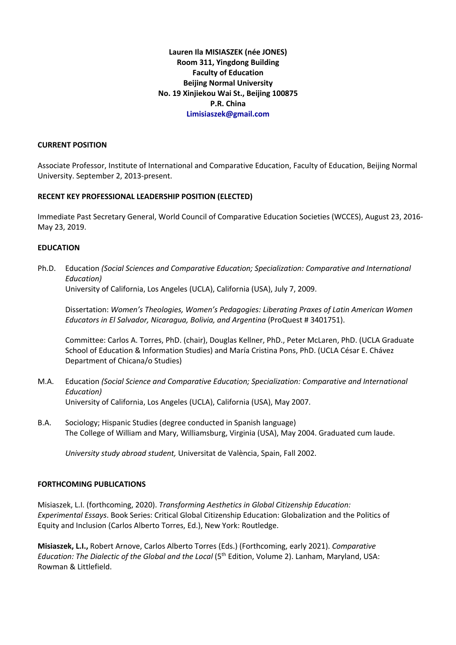**Lauren Ila MISIASZEK (née JONES) Room 311, Yingdong Building Faculty of Education Beijing Normal University No. 19 Xinjiekou Wai St., Beijing 100875 P.R. China Limisiaszek@gmail.com**

#### **CURRENT POSITION**

Associate Professor, Institute of International and Comparative Education, Faculty of Education, Beijing Normal University. September 2, 2013-present.

### **RECENT KEY PROFESSIONAL LEADERSHIP POSITION (ELECTED)**

Immediate Past Secretary General, World Council of Comparative Education Societies (WCCES), August 23, 2016- May 23, 2019.

### **EDUCATION**

Ph.D. Education *(Social Sciences and Comparative Education; Specialization: Comparative and International Education)* 

University of California, Los Angeles (UCLA), California (USA), July 7, 2009.

Dissertation: *Women's Theologies, Women's Pedagogies: Liberating Praxes of Latin American Women Educators in El Salvador, Nicaragua, Bolivia, and Argentina* (ProQuest # 3401751).

Committee: Carlos A. Torres, PhD. (chair), Douglas Kellner, PhD., Peter McLaren, PhD. (UCLA Graduate School of Education & Information Studies) and María Cristina Pons, PhD. (UCLA César E. Chávez Department of Chicana/o Studies)

- M.A. Education *(Social Science and Comparative Education; Specialization: Comparative and International Education)* University of California, Los Angeles (UCLA), California (USA), May 2007.
- B.A. Sociology; Hispanic Studies (degree conducted in Spanish language) The College of William and Mary, Williamsburg, Virginia (USA), May 2004. Graduated cum laude.

*University study abroad student,* Universitat de València, Spain, Fall 2002.

### **FORTHCOMING PUBLICATIONS**

Misiaszek, L.I. (forthcoming, 2020). *Transforming Aesthetics in Global Citizenship Education: Experimental Essays*. Book Series: Critical Global Citizenship Education: Globalization and the Politics of Equity and Inclusion (Carlos Alberto Torres, Ed.), New York: Routledge.

**Misiaszek, L.I.,** Robert Arnove, Carlos Alberto Torres (Eds.) (Forthcoming, early 2021). *Comparative Education: The Dialectic of the Global and the Local* (5<sup>th</sup> Edition, Volume 2). Lanham, Maryland, USA: Rowman & Littlefield.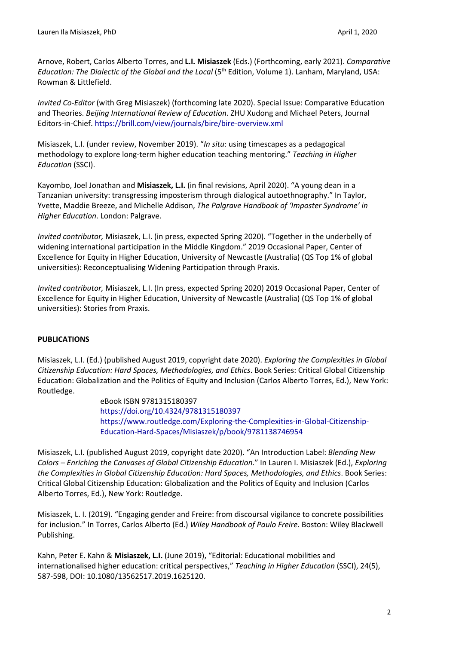Arnove, Robert, Carlos Alberto Torres, and **L.I. Misiaszek** (Eds.) (Forthcoming, early 2021). *Comparative Education: The Dialectic of the Global and the Local* (5<sup>th</sup> Edition, Volume 1). Lanham, Maryland, USA: Rowman & Littlefield.

*Invited Co-Editor* (with Greg Misiaszek) (forthcoming late 2020). Special Issue: Comparative Education and Theories. *Beijing International Review of Education*. ZHU Xudong and Michael Peters, Journal Editors-in-Chief. https://brill.com/view/journals/bire/bire-overview.xml

Misiaszek, L.I. (under review, November 2019). "*In situ*: using timescapes as a pedagogical methodology to explore long-term higher education teaching mentoring." *Teaching in Higher Education* (SSCI).

Kayombo, Joel Jonathan and **Misiaszek, L.I.** (in final revisions, April 2020). "A young dean in a Tanzanian university: transgressing imposterism through dialogical autoethnography." In Taylor, Yvette, Maddie Breeze, and Michelle Addison, *The Palgrave Handbook of 'Imposter Syndrome' in Higher Education*. London: Palgrave.

*Invited contributor,* Misiaszek, L.I. (in press, expected Spring 2020). "Together in the underbelly of widening international participation in the Middle Kingdom." 2019 Occasional Paper, Center of Excellence for Equity in Higher Education, University of Newcastle (Australia) (QS Top 1% of global universities): Reconceptualising Widening Participation through Praxis.

*Invited contributor,* Misiaszek, L.I. (In press, expected Spring 2020) 2019 Occasional Paper, Center of Excellence for Equity in Higher Education, University of Newcastle (Australia) (QS Top 1% of global universities): Stories from Praxis.

# **PUBLICATIONS**

Misiaszek, L.I. (Ed.) (published August 2019, copyright date 2020). *Exploring the Complexities in Global Citizenship Education: Hard Spaces, Methodologies, and Ethics*. Book Series: Critical Global Citizenship Education: Globalization and the Politics of Equity and Inclusion (Carlos Alberto Torres, Ed.), New York: Routledge.

> eBook ISBN 9781315180397 https://doi.org/10.4324/9781315180397 https://www.routledge.com/Exploring-the-Complexities-in-Global-Citizenship-Education-Hard-Spaces/Misiaszek/p/book/9781138746954

Misiaszek, L.I. (published August 2019, copyright date 2020). "An Introduction Label: *Blending New Colors – Enriching the Canvases of Global Citizenship Education*." In Lauren I. Misiaszek (Ed.), *Exploring the Complexities in Global Citizenship Education: Hard Spaces, Methodologies, and Ethics*. Book Series: Critical Global Citizenship Education: Globalization and the Politics of Equity and Inclusion (Carlos Alberto Torres, Ed.), New York: Routledge.

Misiaszek, L. I. (2019). "Engaging gender and Freire: from discoursal vigilance to concrete possibilities for inclusion." In Torres, Carlos Alberto (Ed.) *Wiley Handbook of Paulo Freire*. Boston: Wiley Blackwell Publishing.

Kahn, Peter E. Kahn & **Misiaszek, L.I.** (June 2019), "Editorial: Educational mobilities and internationalised higher education: critical perspectives," *Teaching in Higher Education* (SSCI), 24(5), 587-598, DOI: 10.1080/13562517.2019.1625120.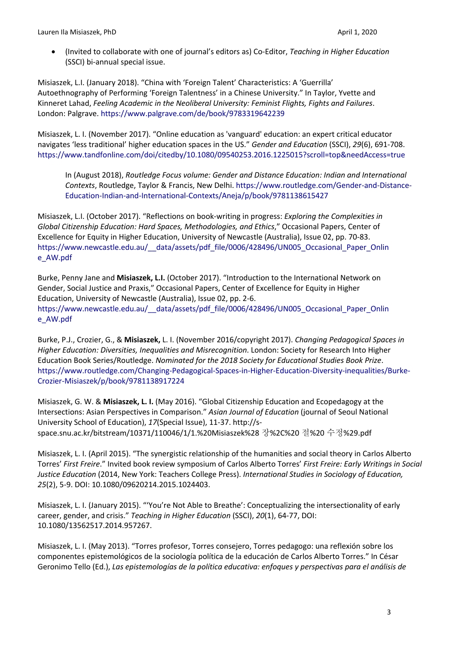• (Invited to collaborate with one of journal's editors as) Co-Editor, *Teaching in Higher Education*  (SSCI) bi-annual special issue.

Misiaszek, L.I. (January 2018). "China with 'Foreign Talent' Characteristics: A 'Guerrilla' Autoethnography of Performing 'Foreign Talentness' in a Chinese University." In Taylor, Yvette and Kinneret Lahad, *Feeling Academic in the Neoliberal University: Feminist Flights, Fights and Failures*. London: Palgrave. https://www.palgrave.com/de/book/9783319642239

Misiaszek, L. I. (November 2017). "Online education as 'vanguard' education: an expert critical educator navigates 'less traditional' higher education spaces in the US." *Gender and Education* (SSCI), *29*(6), 691-708. https://www.tandfonline.com/doi/citedby/10.1080/09540253.2016.1225015?scroll=top&needAccess=true

In (August 2018), *Routledge Focus volume: Gender and Distance Education: Indian and International Contexts*, Routledge, Taylor & Francis, New Delhi. https://www.routledge.com/Gender-and-Distance-Education-Indian-and-International-Contexts/Aneja/p/book/9781138615427

Misiaszek, L.I. (October 2017). "Reflections on book-writing in progress: *Exploring the Complexities in Global Citizenship Education: Hard Spaces, Methodologies, and Ethics*," Occasional Papers, Center of Excellence for Equity in Higher Education, University of Newcastle (Australia), Issue 02, pp. 70-83. https://www.newcastle.edu.au/ data/assets/pdf file/0006/428496/UN005 Occasional Paper Onlin e\_AW.pdf

Burke, Penny Jane and **Misiaszek, L.I.** (October 2017). "Introduction to the International Network on Gender, Social Justice and Praxis," Occasional Papers, Center of Excellence for Equity in Higher Education, University of Newcastle (Australia), Issue 02, pp. 2-6. https://www.newcastle.edu.au/\_\_data/assets/pdf\_file/0006/428496/UN005\_Occasional\_Paper\_Onlin e\_AW.pdf

Burke, P.J., Crozier, G., & **Misiaszek,** L. I. (November 2016/copyright 2017). *Changing Pedagogical Spaces in Higher Education: Diversities, Inequalities and Misrecognition*. London: Society for Research Into Higher Education Book Series/Routledge. *Nominated for the 2018 Society for Educational Studies Book Prize*. https://www.routledge.com/Changing-Pedagogical-Spaces-in-Higher-Education-Diversity-inequalities/Burke-Crozier-Misiaszek/p/book/9781138917224

Misiaszek, G. W. & **Misiaszek, L. I.** (May 2016). "Global Citizenship Education and Ecopedagogy at the Intersections: Asian Perspectives in Comparison." *Asian Journal of Education* (journal of Seoul National University School of Education), *17*(Special Issue), 11-37. http://sspace.snu.ac.kr/bitstream/10371/110046/1/1.%20Misiaszek%28 장%2C%20 절%20 수정%29.pdf

Misiaszek, L. I. (April 2015). "The synergistic relationship of the humanities and social theory in Carlos Alberto Torres' *First Freire*." Invited book review symposium of Carlos Alberto Torres' *First Freire: Early Writings in Social Justice Education* (2014, New York: Teachers College Press). *International Studies in Sociology of Education, 25*(2), 5-9. DOI: 10.1080/09620214.2015.1024403.

Misiaszek, L. I. (January 2015). "'You're Not Able to Breathe': Conceptualizing the intersectionality of early career, gender, and crisis." *Teaching in Higher Education* (SSCI), *20*(1), 64-77, DOI: 10.1080/13562517.2014.957267.

Misiaszek, L. I. (May 2013). "Torres profesor, Torres consejero, Torres pedagogo: una reflexión sobre los componentes epistemológicos de la sociología política de la educación de Carlos Alberto Torres." In César Geronimo Tello (Ed.), *Las epistemologías de la política educativa: enfoques y perspectivas para el análisis de*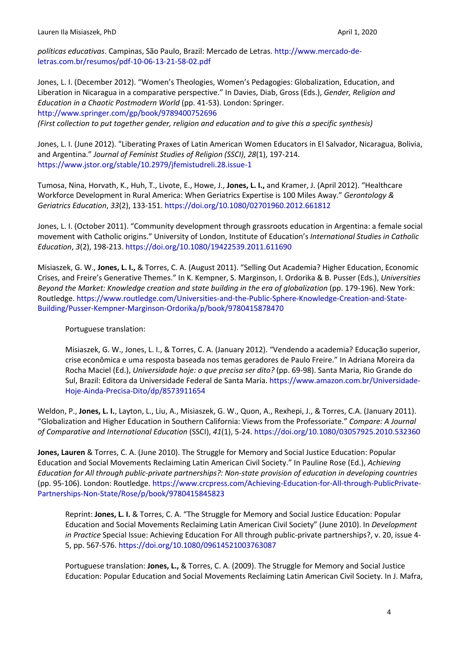*políticas educativas*. Campinas, São Paulo, Brazil: Mercado de Letras. http://www.mercado-deletras.com.br/resumos/pdf-10-06-13-21-58-02.pdf

Jones, L. I. (December 2012). "Women's Theologies, Women's Pedagogies: Globalization, Education, and Liberation in Nicaragua in a comparative perspective." In Davies, Diab, Gross (Eds.), *Gender, Religion and Education in a Chaotic Postmodern World* (pp. 41-53). London: Springer. http://www.springer.com/gp/book/9789400752696

*(First collection to put together gender, religion and education and to give this a specific synthesis)*

Jones, L. I. (June 2012). "Liberating Praxes of Latin American Women Educators in El Salvador, Nicaragua, Bolivia, and Argentina." *Journal of Feminist Studies of Religion (SSCI)*, *28*(1), 197-214. https://www.jstor.org/stable/10.2979/jfemistudreli.28.issue-1

Tumosa, Nina, Horvath, K., Huh, T., Livote, E., Howe, J., **Jones, L. I.,** and Kramer, J. (April 2012). "Healthcare Workforce Development in Rural America: When Geriatrics Expertise is 100 Miles Away." *Gerontology & Geriatrics Education*, *33*(2), 133-151. https://doi.org/10.1080/02701960.2012.661812

Jones, L. I. (October 2011). "Community development through grassroots education in Argentina: a female social movement with Catholic origins." University of London, Institute of Education's *International Studies in Catholic Education*, *3*(2), 198-213. https://doi.org/10.1080/19422539.2011.611690

Misiaszek, G. W., **Jones, L. I.,** & Torres, C. A. (August 2011). "Selling Out Academia? Higher Education, Economic Crises, and Freire's Generative Themes." In K. Kempner, S. Marginson, I. Ordorika & B. Pusser (Eds.), *Universities Beyond the Market: Knowledge creation and state building in the era of globalization* (pp. 179-196). New York: Routledge. https://www.routledge.com/Universities-and-the-Public-Sphere-Knowledge-Creation-and-State-Building/Pusser-Kempner-Marginson-Ordorika/p/book/9780415878470

Portuguese translation:

Misiaszek, G. W., Jones, L. I., & Torres, C. A. (January 2012). "Vendendo a academia? Educação superior, crise econômica e uma resposta baseada nos temas geradores de Paulo Freire." In Adriana Moreira da Rocha Maciel (Ed.), *Universidade hoje: o que precisa ser dito?* (pp. 69-98). Santa Maria, Rio Grande do Sul, Brazil: Editora da Universidade Federal de Santa Maria. https://www.amazon.com.br/Universidade-Hoje-Ainda-Precisa-Dito/dp/8573911654

Weldon, P., **Jones, L. I.**, Layton, L., Liu, A., Misiaszek, G. W., Quon, A., Rexhepi, J., & Torres, C.A. (January 2011). "Globalization and Higher Education in Southern California: Views from the Professoriate." *Compare: A Journal of Comparative and International Education* (SSCI), *41*(1), 5-24. https://doi.org/10.1080/03057925.2010.532360

**Jones, Lauren** & Torres, C. A. (June 2010). The Struggle for Memory and Social Justice Education: Popular Education and Social Movements Reclaiming Latin American Civil Society." In Pauline Rose (Ed.), *Achieving Education for All through public-private partnerships?: Non-state provision of education in developing countries* (pp. 95-106). London: Routledge. https://www.crcpress.com/Achieving-Education-for-All-through-PublicPrivate-Partnerships-Non-State/Rose/p/book/9780415845823

Reprint: **Jones, L. I.** & Torres, C. A. "The Struggle for Memory and Social Justice Education: Popular Education and Social Movements Reclaiming Latin American Civil Society" (June 2010). In *Development in Practice* Special Issue: Achieving Education For All through public-private partnerships?, v. 20, issue 4- 5, pp. 567-576. https://doi.org/10.1080/09614521003763087

Portuguese translation: **Jones, L.,** & Torres, C. A. (2009). The Struggle for Memory and Social Justice Education: Popular Education and Social Movements Reclaiming Latin American Civil Society. In J. Mafra,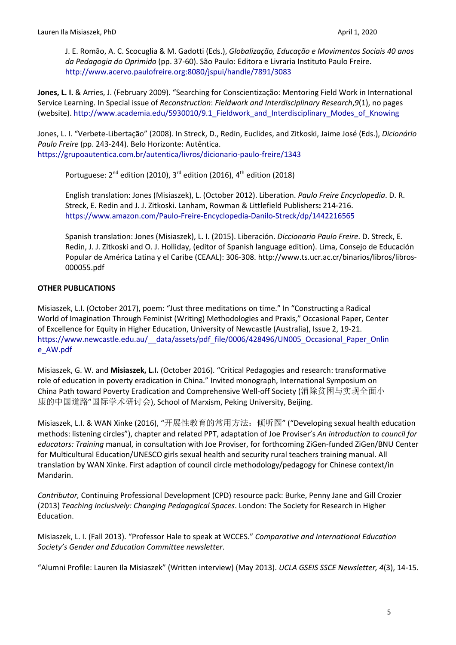J. E. Romão, A. C. Scocuglia & M. Gadotti (Eds.), *Globalização, Educação e Movimentos Sociais 40 anos da Pedagogia do Oprimido* (pp. 37-60). São Paulo: Editora e Livraria Instituto Paulo Freire. http://www.acervo.paulofreire.org:8080/jspui/handle/7891/3083

**Jones, L. I.** & Arries, J. (February 2009). "Searching for Conscientização: Mentoring Field Work in International Service Learning. In Special issue of *Reconstruction*: *Fieldwork and Interdisciplinary Research*,*9*(1), no pages (website). http://www.academia.edu/5930010/9.1\_Fieldwork\_and\_Interdisciplinary\_Modes\_of\_Knowing

Jones, L. I. "Verbete-Libertação" (2008). In Streck, D., Redin, Euclides, and Zitkoski, Jaime José (Eds.), *Dicionário Paulo Freire* (pp. 243-244). Belo Horizonte: Autêntica. https://grupoautentica.com.br/autentica/livros/dicionario-paulo-freire/1343

Portuguese: 2<sup>nd</sup> edition (2010), 3<sup>rd</sup> edition (2016), 4<sup>th</sup> edition (2018)

English translation: Jones (Misiaszek), L. (October 2012). Liberation. *Paulo Freire Encyclopedia*. D. R. Streck, E. Redin and J. J. Zitkoski. Lanham, Rowman & Littlefield Publishers**:** 214-216. https://www.amazon.com/Paulo-Freire-Encyclopedia-Danilo-Streck/dp/1442216565

Spanish translation: Jones (Misiaszek), L. I. (2015). Liberación. *Diccionario Paulo Freire*. D. Streck, E. Redin, J. J. Zitkoski and O. J. Holliday, (editor of Spanish language edition). Lima, Consejo de Educación Popular de América Latina y el Caribe (CEAAL): 306-308. http://www.ts.ucr.ac.cr/binarios/libros/libros-000055.pdf

# **OTHER PUBLICATIONS**

Misiaszek, L.I. (October 2017), poem: "Just three meditations on time." In "Constructing a Radical World of Imagination Through Feminist (Writing) Methodologies and Praxis," Occasional Paper, Center of Excellence for Equity in Higher Education, University of Newcastle (Australia), Issue 2, 19-21. https://www.newcastle.edu.au/\_\_data/assets/pdf\_file/0006/428496/UN005\_Occasional\_Paper\_Onlin e\_AW.pdf

Misiaszek, G. W. and **Misiaszek, L.I.** (October 2016). "Critical Pedagogies and research: transformative role of education in poverty eradication in China." Invited monograph, International Symposium on China Path toward Poverty Eradication and Comprehensive Well-off Society (消除贫困与实现全面小 康的中国道路"国际学术研讨会), School of Marxism, Peking University, Beijing.

Misiaszek, L.I. & WAN Xinke (2016), "开展性教育的常用方法:倾听圈" ("Developing sexual health education methods: listening circles"), chapter and related PPT, adaptation of Joe Proviser's *An introduction to council for educators: Training* manual, in consultation with Joe Proviser, for forthcoming ZiGen-funded ZiGen/BNU Center for Multicultural Education/UNESCO girls sexual health and security rural teachers training manual. All translation by WAN Xinke. First adaption of council circle methodology/pedagogy for Chinese context/in Mandarin.

*Contributor,* Continuing Professional Development (CPD) resource pack: Burke, Penny Jane and Gill Crozier (2013) *Teaching Inclusively: Changing Pedagogical Spaces*. London: The Society for Research in Higher Education.

Misiaszek, L. I. (Fall 2013). "Professor Hale to speak at WCCES." *Comparative and International Education Society's Gender and Education Committee newsletter*.

"Alumni Profile: Lauren Ila Misiaszek" (Written interview) (May 2013). *UCLA GSEIS SSCE Newsletter, 4*(3), 14-15.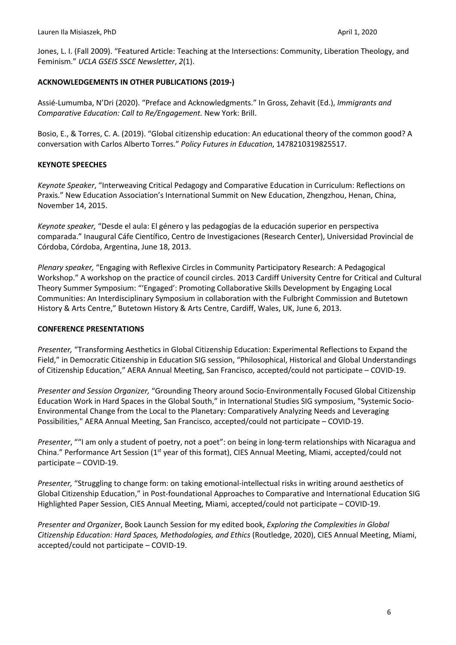Jones, L. I. (Fall 2009). "Featured Article: Teaching at the Intersections: Community, Liberation Theology, and Feminism." *UCLA GSEIS SSCE Newsletter*, *2*(1).

## **ACKNOWLEDGEMENTS IN OTHER PUBLICATIONS (2019-)**

Assié-Lumumba, N'Dri (2020). "Preface and Acknowledgments." In Gross, Zehavit (Ed.), *Immigrants and Comparative Education: Call to Re/Engagement.* New York: Brill.

Bosio, E., & Torres, C. A. (2019). "Global citizenship education: An educational theory of the common good? A conversation with Carlos Alberto Torres." *Policy Futures in Education*, 1478210319825517.

# **KEYNOTE SPEECHES**

*Keynote Speaker*, "Interweaving Critical Pedagogy and Comparative Education in Curriculum: Reflections on Praxis." New Education Association's International Summit on New Education, Zhengzhou, Henan, China, November 14, 2015.

*Keynote speaker,* "Desde el aula: El género y las pedagogías de la educación superior en perspectiva comparada." Inaugural Cáfe Científico, Centro de Investigaciones (Research Center), Universidad Provincial de Córdoba, Córdoba, Argentina, June 18, 2013.

*Plenary speaker,* "Engaging with Reflexive Circles in Community Participatory Research: A Pedagogical Workshop." A workshop on the practice of council circles. 2013 Cardiff University Centre for Critical and Cultural Theory Summer Symposium: "'Engaged': Promoting Collaborative Skills Development by Engaging Local Communities: An Interdisciplinary Symposium in collaboration with the Fulbright Commission and Butetown History & Arts Centre," Butetown History & Arts Centre, Cardiff, Wales, UK, June 6, 2013.

### **CONFERENCE PRESENTATIONS**

*Presenter,* "Transforming Aesthetics in Global Citizenship Education: Experimental Reflections to Expand the Field," in Democratic Citizenship in Education SIG session, "Philosophical, Historical and Global Understandings of Citizenship Education," AERA Annual Meeting, San Francisco, accepted/could not participate – COVID-19.

*Presenter and Session Organizer,* "Grounding Theory around Socio-Environmentally Focused Global Citizenship Education Work in Hard Spaces in the Global South," in International Studies SIG symposium, "Systemic Socio-Environmental Change from the Local to the Planetary: Comparatively Analyzing Needs and Leveraging Possibilities," AERA Annual Meeting, San Francisco, accepted/could not participate – COVID-19.

*Presenter*, ""I am only a student of poetry, not a poet": on being in long-term relationships with Nicaragua and China." Performance Art Session (1<sup>st</sup> year of this format), CIES Annual Meeting, Miami, accepted/could not participate – COVID-19.

*Presenter,* "Struggling to change form: on taking emotional-intellectual risks in writing around aesthetics of Global Citizenship Education," in Post-foundational Approaches to Comparative and International Education SIG Highlighted Paper Session, CIES Annual Meeting, Miami, accepted/could not participate – COVID-19.

*Presenter and Organizer*, Book Launch Session for my edited book, *Exploring the Complexities in Global Citizenship Education: Hard Spaces, Methodologies, and Ethics* (Routledge, 2020), CIES Annual Meeting, Miami, accepted/could not participate – COVID-19.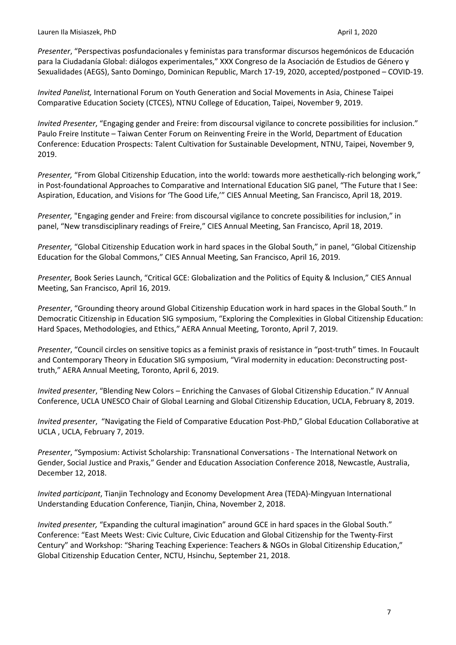*Presenter*, "Perspectivas posfundacionales y feministas para transformar discursos hegemónicos de Educación para la Ciudadanía Global: diálogos experimentales," XXX Congreso de la Asociación de Estudios de Género y Sexualidades (AEGS), Santo Domingo, Dominican Republic, March 17-19, 2020, accepted/postponed – COVID-19.

*Invited Panelist,* International Forum on Youth Generation and Social Movements in Asia, Chinese Taipei Comparative Education Society (CTCES), NTNU College of Education, Taipei, November 9, 2019.

*Invited Presenter*, "Engaging gender and Freire: from discoursal vigilance to concrete possibilities for inclusion." Paulo Freire Institute – Taiwan Center Forum on Reinventing Freire in the World, Department of Education Conference: Education Prospects: Talent Cultivation for Sustainable Development, NTNU, Taipei, November 9, 2019.

*Presenter,* "From Global Citizenship Education, into the world: towards more aesthetically-rich belonging work," in Post-foundational Approaches to Comparative and International Education SIG panel, "The Future that I See: Aspiration, Education, and Visions for 'The Good Life,'" CIES Annual Meeting, San Francisco, April 18, 2019.

*Presenter,* "Engaging gender and Freire: from discoursal vigilance to concrete possibilities for inclusion," in panel, "New transdisciplinary readings of Freire," CIES Annual Meeting, San Francisco, April 18, 2019.

*Presenter,* "Global Citizenship Education work in hard spaces in the Global South," in panel, "Global Citizenship Education for the Global Commons," CIES Annual Meeting, San Francisco, April 16, 2019.

*Presenter,* Book Series Launch, "Critical GCE: Globalization and the Politics of Equity & Inclusion," CIES Annual Meeting, San Francisco, April 16, 2019.

*Presenter*, "Grounding theory around Global Citizenship Education work in hard spaces in the Global South." In Democratic Citizenship in Education SIG symposium, "Exploring the Complexities in Global Citizenship Education: Hard Spaces, Methodologies, and Ethics," AERA Annual Meeting, Toronto, April 7, 2019.

*Presenter*, "Council circles on sensitive topics as a feminist praxis of resistance in "post-truth" times. In Foucault and Contemporary Theory in Education SIG symposium, "Viral modernity in education: Deconstructing posttruth," AERA Annual Meeting, Toronto, April 6, 2019.

*Invited presenter*, "Blending New Colors – Enriching the Canvases of Global Citizenship Education." IV Annual Conference, UCLA UNESCO Chair of Global Learning and Global Citizenship Education, UCLA, February 8, 2019.

*Invited presenter*, "Navigating the Field of Comparative Education Post-PhD," Global Education Collaborative at UCLA , UCLA, February 7, 2019.

*Presenter*, "Symposium: Activist Scholarship: Transnational Conversations - The International Network on Gender, Social Justice and Praxis," Gender and Education Association Conference 2018, Newcastle, Australia, December 12, 2018.

*Invited participant*, Tianjin Technology and Economy Development Area (TEDA)-Mingyuan International Understanding Education Conference, Tianjin, China, November 2, 2018.

*Invited presenter,* "Expanding the cultural imagination" around GCE in hard spaces in the Global South." Conference: "East Meets West: Civic Culture, Civic Education and Global Citizenship for the Twenty-First Century" and Workshop: "Sharing Teaching Experience: Teachers & NGOs in Global Citizenship Education," Global Citizenship Education Center, NCTU, Hsinchu, September 21, 2018.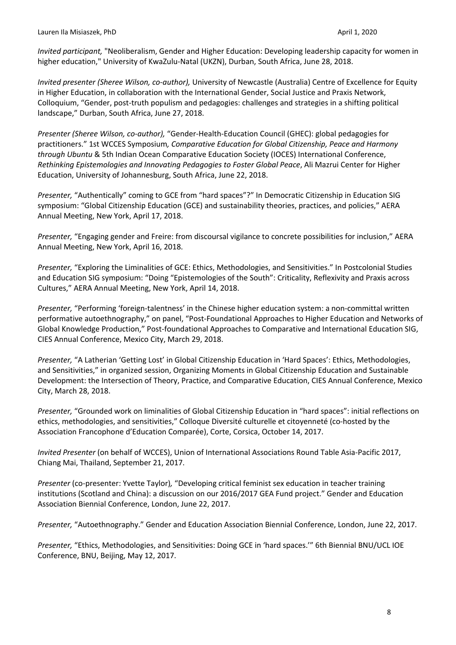*Invited participant,* "Neoliberalism, Gender and Higher Education: Developing leadership capacity for women in higher education," University of KwaZulu-Natal (UKZN), Durban, South Africa, June 28, 2018.

*Invited presenter (Sheree Wilson, co-author),* University of Newcastle (Australia) Centre of Excellence for Equity in Higher Education, in collaboration with the International Gender, Social Justice and Praxis Network, Colloquium, "Gender, post-truth populism and pedagogies: challenges and strategies in a shifting political landscape," Durban, South Africa, June 27, 2018.

*Presenter (Sheree Wilson, co-author),* "Gender-Health-Education Council (GHEC): global pedagogies for practitioners." 1st WCCES Symposium*, Comparative Education for Global Citizenship, Peace and Harmony through Ubuntu* & 5th Indian Ocean Comparative Education Society (IOCES) International Conference, *Rethinking Epistemologies and Innovating Pedagogies to Foster Global Peace*, Ali Mazrui Center for Higher Education, University of Johannesburg, South Africa, June 22, 2018.

*Presenter,* "Authentically" coming to GCE from "hard spaces"?" In Democratic Citizenship in Education SIG symposium: "Global Citizenship Education (GCE) and sustainability theories, practices, and policies," AERA Annual Meeting, New York, April 17, 2018.

*Presenter,* "Engaging gender and Freire: from discoursal vigilance to concrete possibilities for inclusion," AERA Annual Meeting, New York, April 16, 2018.

*Presenter,* "Exploring the Liminalities of GCE: Ethics, Methodologies, and Sensitivities." In Postcolonial Studies and Education SIG symposium: "Doing "Epistemologies of the South": Criticality, Reflexivity and Praxis across Cultures," AERA Annual Meeting, New York, April 14, 2018.

*Presenter,* "Performing 'foreign-talentness' in the Chinese higher education system: a non-committal written performative autoethnography," on panel, "Post-Foundational Approaches to Higher Education and Networks of Global Knowledge Production," Post-foundational Approaches to Comparative and International Education SIG, CIES Annual Conference, Mexico City, March 29, 2018.

*Presenter,* "A Latherian 'Getting Lost' in Global Citizenship Education in 'Hard Spaces': Ethics, Methodologies, and Sensitivities," in organized session, Organizing Moments in Global Citizenship Education and Sustainable Development: the Intersection of Theory, Practice, and Comparative Education, CIES Annual Conference, Mexico City, March 28, 2018.

*Presenter,* "Grounded work on liminalities of Global Citizenship Education in "hard spaces": initial reflections on ethics, methodologies, and sensitivities," Colloque Diversité culturelle et citoyenneté (co-hosted by the Association Francophone d'Education Comparée), Corte, Corsica, October 14, 2017.

*Invited Presenter* (on behalf of WCCES), Union of International Associations Round Table Asia-Pacific 2017, Chiang Mai, Thailand, September 21, 2017.

*Presenter* (co-presenter: Yvette Taylor)*,* "Developing critical feminist sex education in teacher training institutions (Scotland and China): a discussion on our 2016/2017 GEA Fund project." Gender and Education Association Biennial Conference, London, June 22, 2017.

*Presenter,* "Autoethnography." Gender and Education Association Biennial Conference, London, June 22, 2017.

*Presenter,* "Ethics, Methodologies, and Sensitivities: Doing GCE in 'hard spaces.'" 6th Biennial BNU/UCL IOE Conference, BNU, Beijing, May 12, 2017.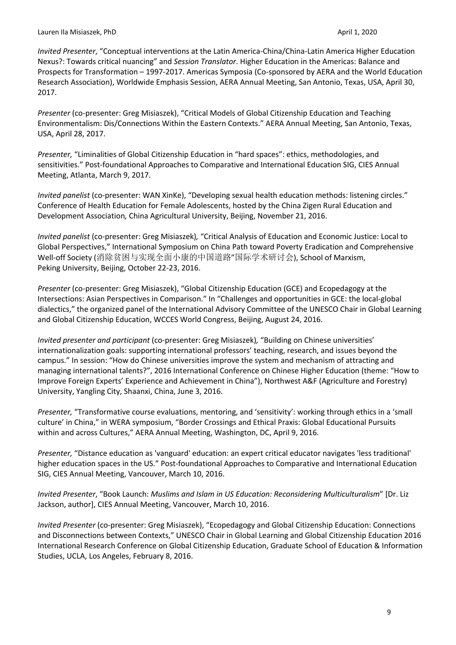*Invited Presenter*, "Conceptual interventions at the Latin America-China/China-Latin America Higher Education Nexus?: Towards critical nuancing" and *Session Translator*. Higher Education in the Americas: Balance and Prospects for Transformation – 1997-2017. Americas Symposia (Co-sponsored by AERA and the World Education Research Association), Worldwide Emphasis Session, AERA Annual Meeting, San Antonio, Texas, USA, April 30, 2017.

*Presenter* (co-presenter: Greg Misiaszek), "Critical Models of Global Citizenship Education and Teaching Environmentalism: Dis/Connections Within the Eastern Contexts." AERA Annual Meeting, San Antonio, Texas, USA, April 28, 2017.

*Presenter,* "Liminalities of Global Citizenship Education in "hard spaces": ethics, methodologies, and sensitivities." Post-foundational Approaches to Comparative and International Education SIG, CIES Annual Meeting, Atlanta, March 9, 2017.

*Invited panelist* (co-presenter: WAN XinKe), "Developing sexual health education methods: listening circles." Conference of Health Education for Female Adolescents, hosted by the China Zigen Rural Education and Development Association*,* China Agricultural University, Beijing, November 21, 2016.

*Invited panelist* (co-presenter: Greg Misiaszek)*,* "Critical Analysis of Education and Economic Justice: Local to Global Perspectives," International Symposium on China Path toward Poverty Eradication and Comprehensive Well-off Society (消除贫困与实现全面小康的中国道路"国际学术研讨会), School of Marxism, Peking University, Beijing, October 22-23, 2016.

*Presenter* (co-presenter: Greg Misiaszek), "Global Citizenship Education (GCE) and Ecopedagogy at the Intersections: Asian Perspectives in Comparison." In "Challenges and opportunities in GCE: the local-global dialectics," the organized panel of the International Advisory Committee of the UNESCO Chair in Global Learning and Global Citizenship Education, WCCES World Congress, Beijing, August 24, 2016.

*Invited presenter and participant* (co-presenter: Greg Misiaszek)*,* "Building on Chinese universities' internationalization goals: supporting international professors' teaching, research, and issues beyond the campus." In session: "How do Chinese universities improve the system and mechanism of attracting and managing international talents?", 2016 International Conference on Chinese Higher Education (theme: "How to Improve Foreign Experts' Experience and Achievement in China"), Northwest A&F (Agriculture and Forestry) University, Yangling City, Shaanxi, China, June 3, 2016.

*Presenter,* "Transformative course evaluations, mentoring, and 'sensitivity': working through ethics in a 'small culture' in China," in WERA symposium, "Border Crossings and Ethical Praxis: Global Educational Pursuits within and across Cultures," AERA Annual Meeting, Washington, DC, April 9, 2016.

*Presenter,* "Distance education as 'vanguard' education: an expert critical educator navigates 'less traditional' higher education spaces in the US." Post-foundational Approaches to Comparative and International Education SIG, CIES Annual Meeting, Vancouver, March 10, 2016.

*Invited Presenter*, "Book Launch: *Muslims and Islam in US Education: Reconsidering Multiculturalism*" [Dr. Liz Jackson, author], CIES Annual Meeting, Vancouver, March 10, 2016.

*Invited Presenter* (co-presenter: Greg Misiaszek), "Ecopedagogy and Global Citizenship Education: Connections and Disconnections between Contexts," UNESCO Chair in Global Learning and Global Citizenship Education 2016 International Research Conference on Global Citizenship Education, Graduate School of Education & Information Studies, UCLA, Los Angeles, February 8, 2016.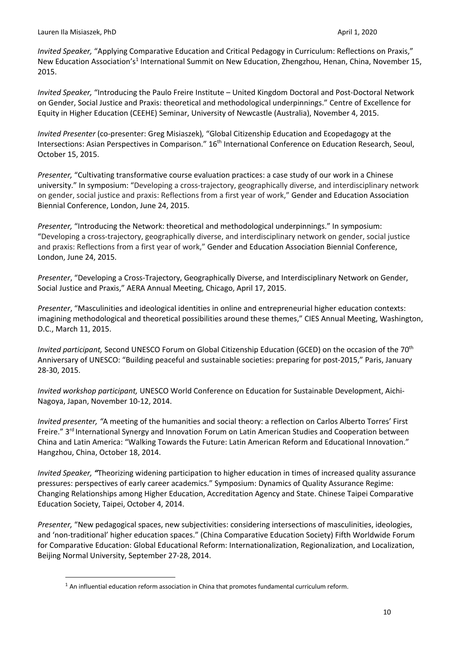*Invited Speaker,* "Applying Comparative Education and Critical Pedagogy in Curriculum: Reflections on Praxis," New Education Association's<sup>1</sup> International Summit on New Education, Zhengzhou, Henan, China, November 15, 2015.

*Invited Speaker,* "Introducing the Paulo Freire Institute – United Kingdom Doctoral and Post-Doctoral Network on Gender, Social Justice and Praxis: theoretical and methodological underpinnings." Centre of Excellence for Equity in Higher Education (CEEHE) Seminar, University of Newcastle (Australia), November 4, 2015.

*Invited Presenter* (co-presenter: Greg Misiaszek)*,* "Global Citizenship Education and Ecopedagogy at the Intersections: Asian Perspectives in Comparison." 16<sup>th</sup> International Conference on Education Research, Seoul, October 15, 2015.

*Presenter,* "Cultivating transformative course evaluation practices: a case study of our work in a Chinese university." In symposium: "Developing a cross-trajectory, geographically diverse, and interdisciplinary network on gender, social justice and praxis: Reflections from a first year of work," Gender and Education Association Biennial Conference, London, June 24, 2015.

*Presenter,* "Introducing the Network: theoretical and methodological underpinnings." In symposium: "Developing a cross-trajectory, geographically diverse, and interdisciplinary network on gender, social justice and praxis: Reflections from a first year of work," Gender and Education Association Biennial Conference, London, June 24, 2015.

*Presenter*, "Developing a Cross-Trajectory, Geographically Diverse, and Interdisciplinary Network on Gender, Social Justice and Praxis," AERA Annual Meeting, Chicago, April 17, 2015.

*Presenter*, "Masculinities and ideological identities in online and entrepreneurial higher education contexts: imagining methodological and theoretical possibilities around these themes," CIES Annual Meeting, Washington, D.C., March 11, 2015.

*Invited participant,* Second UNESCO Forum on Global Citizenship Education (GCED) on the occasion of the 70th Anniversary of UNESCO: "Building peaceful and sustainable societies: preparing for post-2015," Paris, January 28-30, 2015.

*Invited workshop participant,* UNESCO World Conference on Education for Sustainable Development, Aichi-Nagoya, Japan, November 10-12, 2014.

*Invited presenter, "*A meeting of the humanities and social theory: a reflection on Carlos Alberto Torres' First Freire." 3<sup>rd</sup> International Synergy and Innovation Forum on Latin American Studies and Cooperation between China and Latin America: "Walking Towards the Future: Latin American Reform and Educational Innovation." Hangzhou, China, October 18, 2014.

*Invited Speaker, "*Theorizing widening participation to higher education in times of increased quality assurance pressures: perspectives of early career academics." Symposium: Dynamics of Quality Assurance Regime: Changing Relationships among Higher Education, Accreditation Agency and State. Chinese Taipei Comparative Education Society, Taipei, October 4, 2014.

*Presenter,* "New pedagogical spaces, new subjectivities: considering intersections of masculinities, ideologies, and 'non-traditional' higher education spaces." (China Comparative Education Society) Fifth Worldwide Forum for Comparative Education: Global Educational Reform: Internationalization, Regionalization, and Localization, Beijing Normal University, September 27-28, 2014.

 $1$  An influential education reform association in China that promotes fundamental curriculum reform.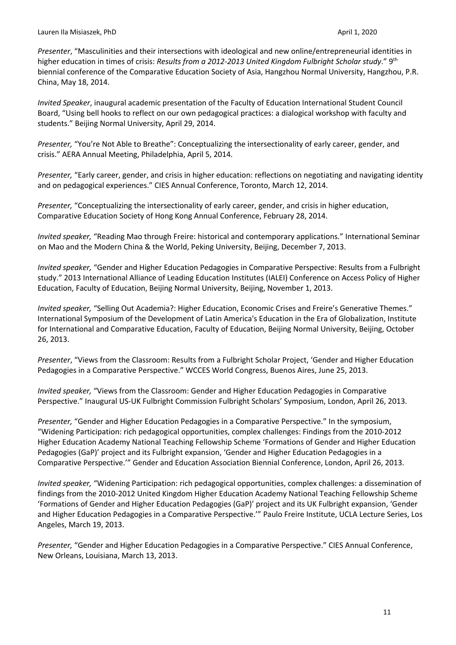*Presenter*, "Masculinities and their intersections with ideological and new online/entrepreneurial identities in higher education in times of crisis: *Results from a 2012-2013 United Kingdom Fulbright Scholar study*." 9th biennial conference of the Comparative Education Society of Asia, Hangzhou Normal University, Hangzhou, P.R. China, May 18, 2014.

*Invited Speaker*, inaugural academic presentation of the Faculty of Education International Student Council Board, "Using bell hooks to reflect on our own pedagogical practices: a dialogical workshop with faculty and students." Beijing Normal University, April 29, 2014.

*Presenter,* "You're Not Able to Breathe": Conceptualizing the intersectionality of early career, gender, and crisis." AERA Annual Meeting, Philadelphia, April 5, 2014.

*Presenter,* "Early career, gender, and crisis in higher education: reflections on negotiating and navigating identity and on pedagogical experiences." CIES Annual Conference, Toronto, March 12, 2014.

*Presenter,* "Conceptualizing the intersectionality of early career, gender, and crisis in higher education, Comparative Education Society of Hong Kong Annual Conference, February 28, 2014.

*Invited speaker,* "Reading Mao through Freire: historical and contemporary applications." International Seminar on Mao and the Modern China & the World, Peking University, Beijing, December 7, 2013.

*Invited speaker,* "Gender and Higher Education Pedagogies in Comparative Perspective: Results from a Fulbright study." 2013 International Alliance of Leading Education Institutes (IALEI) Conference on Access Policy of Higher Education, Faculty of Education, Beijing Normal University, Beijing, November 1, 2013.

*Invited speaker,* "Selling Out Academia?: Higher Education, Economic Crises and Freire's Generative Themes." International Symposium of the Development of Latin America's Education in the Era of Globalization, Institute for International and Comparative Education, Faculty of Education, Beijing Normal University, Beijing, October 26, 2013.

*Presenter*, "Views from the Classroom: Results from a Fulbright Scholar Project, 'Gender and Higher Education Pedagogies in a Comparative Perspective." WCCES World Congress, Buenos Aires, June 25, 2013.

*Invited speaker,* "Views from the Classroom: Gender and Higher Education Pedagogies in Comparative Perspective." Inaugural US-UK Fulbright Commission Fulbright Scholars' Symposium, London, April 26, 2013.

*Presenter,* "Gender and Higher Education Pedagogies in a Comparative Perspective." In the symposium, "Widening Participation: rich pedagogical opportunities, complex challenges: Findings from the 2010-2012 Higher Education Academy National Teaching Fellowship Scheme 'Formations of Gender and Higher Education Pedagogies (GaP)' project and its Fulbright expansion, 'Gender and Higher Education Pedagogies in a Comparative Perspective.'" Gender and Education Association Biennial Conference, London, April 26, 2013.

*Invited speaker,* "Widening Participation: rich pedagogical opportunities, complex challenges: a dissemination of findings from the 2010-2012 United Kingdom Higher Education Academy National Teaching Fellowship Scheme 'Formations of Gender and Higher Education Pedagogies (GaP)' project and its UK Fulbright expansion, 'Gender and Higher Education Pedagogies in a Comparative Perspective.'" Paulo Freire Institute, UCLA Lecture Series, Los Angeles, March 19, 2013.

*Presenter,* "Gender and Higher Education Pedagogies in a Comparative Perspective." CIES Annual Conference, New Orleans, Louisiana, March 13, 2013.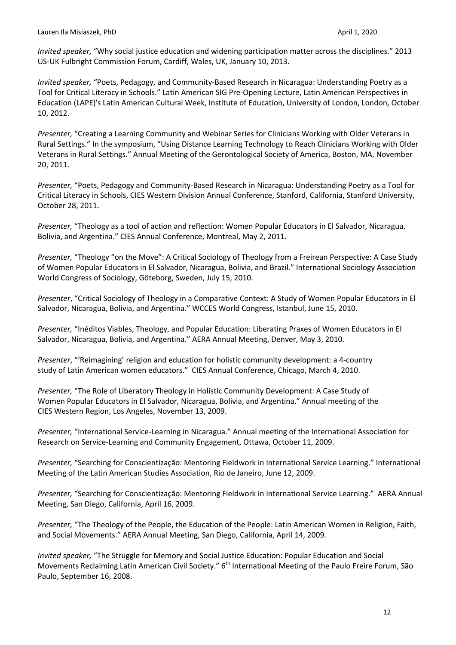*Invited speaker,* "Why social justice education and widening participation matter across the disciplines." 2013 US-UK Fulbright Commission Forum, Cardiff, Wales, UK, January 10, 2013.

*Invited speaker,* "Poets, Pedagogy, and Community-Based Research in Nicaragua: Understanding Poetry as a Tool for Critical Literacy in Schools." Latin American SIG Pre-Opening Lecture, Latin American Perspectives in Education (LAPE)'s Latin American Cultural Week, Institute of Education, University of London, London, October 10, 2012.

*Presenter,* "Creating a Learning Community and Webinar Series for Clinicians Working with Older Veterans in Rural Settings." In the symposium, "Using Distance Learning Technology to Reach Clinicians Working with Older Veterans in Rural Settings." Annual Meeting of the Gerontological Society of America, Boston, MA, November 20, 2011.

*Presenter,* "Poets, Pedagogy and Community-Based Research in Nicaragua: Understanding Poetry as a Tool for Critical Literacy in Schools, CIES Western Division Annual Conference, Stanford, California, Stanford University, October 28, 2011.

*Presenter,* "Theology as a tool of action and reflection: Women Popular Educators in El Salvador, Nicaragua, Bolivia, and Argentina." CIES Annual Conference, Montreal, May 2, 2011.

*Presenter,* "Theology "on the Move": A Critical Sociology of Theology from a Freirean Perspective: A Case Study of Women Popular Educators in El Salvador, Nicaragua, Bolivia, and Brazil." International Sociology Association World Congress of Sociology, Göteborg, Sweden, July 15, 2010.

*Presenter*, "Critical Sociology of Theology in a Comparative Context: A Study of Women Popular Educators in El Salvador, Nicaragua, Bolivia, and Argentina." WCCES World Congress, Istanbul, June 15, 2010.

*Presenter,* "Inéditos Viables, Theology, and Popular Education: Liberating Praxes of Women Educators in El Salvador, Nicaragua, Bolivia, and Argentina." AERA Annual Meeting, Denver, May 3, 2010.

*Presenter*, "'Reimagining' religion and education for holistic community development: a 4-country study of Latin American women educators." CIES Annual Conference, Chicago, March 4, 2010.

*Presenter,* "The Role of Liberatory Theology in Holistic Community Development: A Case Study of Women Popular Educators in El Salvador, Nicaragua, Bolivia, and Argentina." Annual meeting of the CIES Western Region, Los Angeles, November 13, 2009.

*Presenter,* "International Service-Learning in Nicaragua." Annual meeting of the International Association for Research on Service-Learning and Community Engagement, Ottawa, October 11, 2009.

*Presenter,* "Searching for Conscientização: Mentoring Fieldwork in International Service Learning." International Meeting of the Latin American Studies Association, Rio de Janeiro, June 12, 2009.

*Presenter,* "Searching for Conscientização: Mentoring Fieldwork in International Service Learning." AERA Annual Meeting, San Diego, California, April 16, 2009.

*Presenter,* "The Theology of the People, the Education of the People: Latin American Women in Religion, Faith, and Social Movements." AERA Annual Meeting, San Diego, California, April 14, 2009.

*Invited speaker,* "The Struggle for Memory and Social Justice Education: Popular Education and Social Movements Reclaiming Latin American Civil Society." 6<sup>th</sup> International Meeting of the Paulo Freire Forum, São Paulo, September 16, 2008.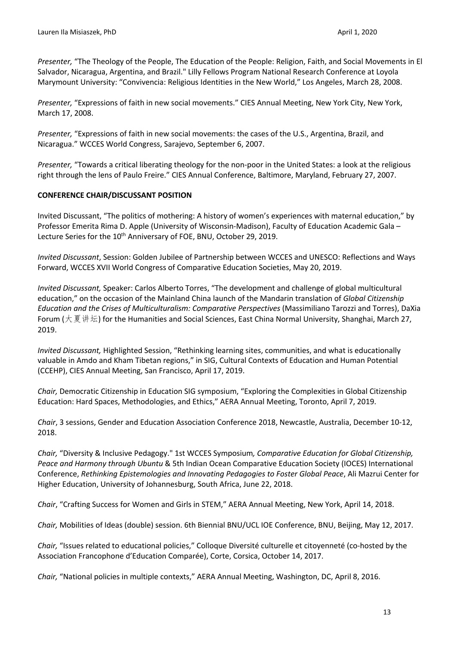*Presenter,* "The Theology of the People, The Education of the People: Religion, Faith, and Social Movements in El Salvador, Nicaragua, Argentina, and Brazil." Lilly Fellows Program National Research Conference at Loyola Marymount University: "Convivencia: Religious Identities in the New World," Los Angeles, March 28, 2008.

*Presenter,* "Expressions of faith in new social movements." CIES Annual Meeting, New York City, New York, March 17, 2008.

*Presenter,* "Expressions of faith in new social movements: the cases of the U.S., Argentina, Brazil, and Nicaragua." WCCES World Congress, Sarajevo, September 6, 2007.

*Presenter,* "Towards a critical liberating theology for the non-poor in the United States: a look at the religious right through the lens of Paulo Freire." CIES Annual Conference, Baltimore, Maryland, February 27, 2007.

# **CONFERENCE CHAIR/DISCUSSANT POSITION**

Invited Discussant, "The politics of mothering: A history of women's experiences with maternal education," by Professor Emerita Rima D. Apple (University of Wisconsin-Madison), Faculty of Education Academic Gala – Lecture Series for the 10<sup>th</sup> Anniversary of FOE, BNU, October 29, 2019.

*Invited Discussant*, Session: Golden Jubilee of Partnership between WCCES and UNESCO: Reflections and Ways Forward, WCCES XVII World Congress of Comparative Education Societies, May 20, 2019.

*Invited Discussant,* Speaker: Carlos Alberto Torres, "The development and challenge of global multicultural education," on the occasion of the Mainland China launch of the Mandarin translation of *Global Citizenship Education and the Crises of Multiculturalism: Comparative Perspectives* (Massimiliano Tarozzi and Torres), DaXia Forum (大夏讲坛) for the Humanities and Social Sciences, East China Normal University, Shanghai, March 27, 2019.

*Invited Discussant,* Highlighted Session, "Rethinking learning sites, communities, and what is educationally valuable in Amdo and Kham Tibetan regions," in SIG, Cultural Contexts of Education and Human Potential (CCEHP), CIES Annual Meeting, San Francisco, April 17, 2019.

*Chair,* Democratic Citizenship in Education SIG symposium, "Exploring the Complexities in Global Citizenship Education: Hard Spaces, Methodologies, and Ethics," AERA Annual Meeting, Toronto, April 7, 2019.

*Chair*, 3 sessions, Gender and Education Association Conference 2018, Newcastle, Australia, December 10-12, 2018.

*Chair,* "Diversity & Inclusive Pedagogy." 1st WCCES Symposium*, Comparative Education for Global Citizenship, Peace and Harmony through Ubuntu* & 5th Indian Ocean Comparative Education Society (IOCES) International Conference, *Rethinking Epistemologies and Innovating Pedagogies to Foster Global Peace*, Ali Mazrui Center for Higher Education, University of Johannesburg, South Africa, June 22, 2018.

*Chair*, "Crafting Success for Women and Girls in STEM," AERA Annual Meeting, New York, April 14, 2018.

*Chair,* Mobilities of Ideas (double) session. 6th Biennial BNU/UCL IOE Conference, BNU, Beijing, May 12, 2017.

*Chair,* "Issues related to educational policies," Colloque Diversité culturelle et citoyenneté (co-hosted by the Association Francophone d'Education Comparée), Corte, Corsica, October 14, 2017.

*Chair,* "National policies in multiple contexts," AERA Annual Meeting, Washington, DC, April 8, 2016.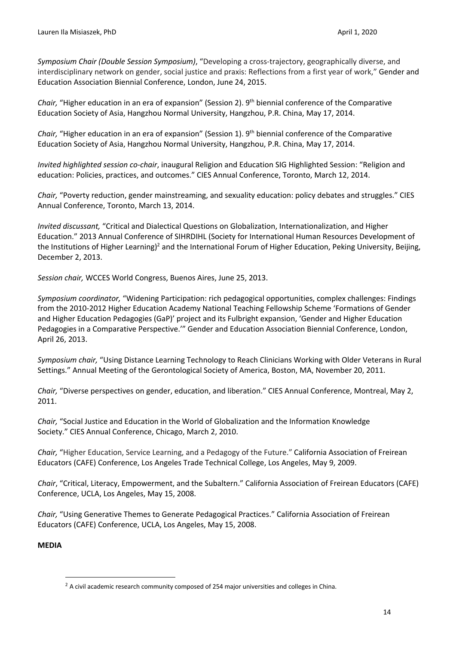*Symposium Chair (Double Session Symposium)*, "Developing a cross-trajectory, geographically diverse, and interdisciplinary network on gender, social justice and praxis: Reflections from a first year of work," Gender and Education Association Biennial Conference, London, June 24, 2015.

*Chair,* "Higher education in an era of expansion" (Session 2). 9<sup>th</sup> biennial conference of the Comparative Education Society of Asia, Hangzhou Normal University, Hangzhou, P.R. China, May 17, 2014.

*Chair,* "Higher education in an era of expansion" (Session 1). 9<sup>th</sup> biennial conference of the Comparative Education Society of Asia, Hangzhou Normal University, Hangzhou, P.R. China, May 17, 2014.

*Invited highlighted session co-chair*, inaugural Religion and Education SIG Highlighted Session: "Religion and education: Policies, practices, and outcomes." CIES Annual Conference, Toronto, March 12, 2014.

*Chair,* "Poverty reduction, gender mainstreaming, and sexuality education: policy debates and struggles." CIES Annual Conference, Toronto, March 13, 2014.

*Invited discussant,* "Critical and Dialectical Questions on Globalization, Internationalization, and Higher Education." 2013 Annual Conference of SIHRDIHL (Society for International Human Resources Development of the Institutions of Higher Learning)<sup>2</sup> and the International Forum of Higher Education, Peking University, Beijing, December 2, 2013.

*Session chair,* WCCES World Congress, Buenos Aires, June 25, 2013.

*Symposium coordinator,* "Widening Participation: rich pedagogical opportunities, complex challenges: Findings from the 2010-2012 Higher Education Academy National Teaching Fellowship Scheme 'Formations of Gender and Higher Education Pedagogies (GaP)' project and its Fulbright expansion, 'Gender and Higher Education Pedagogies in a Comparative Perspective.'" Gender and Education Association Biennial Conference, London, April 26, 2013.

*Symposium chair,* "Using Distance Learning Technology to Reach Clinicians Working with Older Veterans in Rural Settings." Annual Meeting of the Gerontological Society of America, Boston, MA, November 20, 2011.

*Chair,* "Diverse perspectives on gender, education, and liberation." CIES Annual Conference, Montreal, May 2, 2011.

*Chair,* "Social Justice and Education in the World of Globalization and the Information Knowledge Society." CIES Annual Conference, Chicago, March 2, 2010.

*Chair,* "Higher Education, Service Learning, and a Pedagogy of the Future." California Association of Freirean Educators (CAFE) Conference, Los Angeles Trade Technical College, Los Angeles, May 9, 2009.

*Chair*, "Critical, Literacy, Empowerment, and the Subaltern." California Association of Freirean Educators (CAFE) Conference, UCLA, Los Angeles, May 15, 2008.

*Chair,* "Using Generative Themes to Generate Pedagogical Practices." California Association of Freirean Educators (CAFE) Conference, UCLA, Los Angeles, May 15, 2008.

# **MEDIA**

 $2$  A civil academic research community composed of 254 major universities and colleges in China.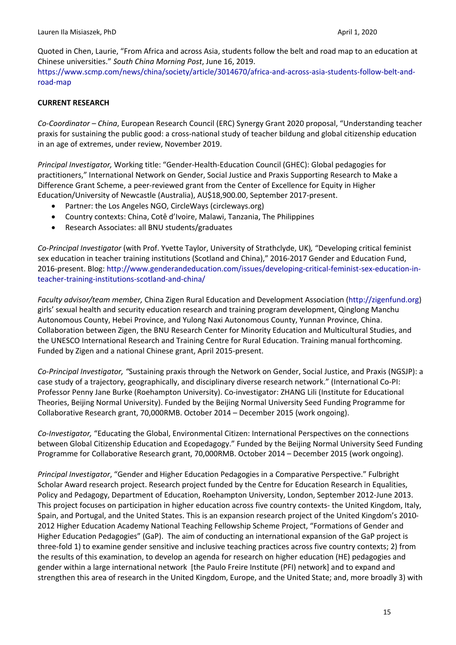Quoted in Chen, Laurie, "From Africa and across Asia, students follow the belt and road map to an education at Chinese universities." *South China Morning Post*, June 16, 2019. https://www.scmp.com/news/china/society/article/3014670/africa-and-across-asia-students-follow-belt-androad-map

# **CURRENT RESEARCH**

*Co-Coordinator – China*, European Research Council (ERC) Synergy Grant 2020 proposal, "Understanding teacher praxis for sustaining the public good: a cross-national study of teacher bildung and global citizenship education in an age of extremes, under review, November 2019.

*Principal Investigator,* Working title: "Gender-Health-Education Council (GHEC): Global pedagogies for practitioners," International Network on Gender, Social Justice and Praxis Supporting Research to Make a Difference Grant Scheme, a peer-reviewed grant from the Center of Excellence for Equity in Higher Education/University of Newcastle (Australia), AU\$18,900.00, September 2017-present.

- Partner: the Los Angeles NGO, CircleWays (circleways.org)
- Country contexts: China, Cotê d'Ivoire, Malawi, Tanzania, The Philippines
- Research Associates: all BNU students/graduates

*Co-Principal Investigator* (with Prof. Yvette Taylor, University of Strathclyde, UK)*,* "Developing critical feminist sex education in teacher training institutions (Scotland and China)," 2016-2017 Gender and Education Fund, 2016-present. Blog: http://www.genderandeducation.com/issues/developing-critical-feminist-sex-education-inteacher-training-institutions-scotland-and-china/

*Faculty advisor/team member,* China Zigen Rural Education and Development Association (http://zigenfund.org) girls' sexual health and security education research and training program development, Qinglong Manchu Autonomous County, Hebei Province, and Yulong Naxi Autonomous County, Yunnan Province, China. Collaboration between Zigen, the BNU Research Center for Minority Education and Multicultural Studies, and the UNESCO International Research and Training Centre for Rural Education. Training manual forthcoming. Funded by Zigen and a national Chinese grant, April 2015-present.

*Co-Principal Investigator, "*Sustaining praxis through the Network on Gender, Social Justice, and Praxis (NGSJP): a case study of a trajectory, geographically, and disciplinary diverse research network." (International Co-PI: Professor Penny Jane Burke (Roehampton University). Co-investigator: ZHANG Lili (Institute for Educational Theories, Beijing Normal University). Funded by the Beijing Normal University Seed Funding Programme for Collaborative Research grant, 70,000RMB. October 2014 – December 2015 (work ongoing).

*Co-Investigator,* "Educating the Global, Environmental Citizen: International Perspectives on the connections between Global Citizenship Education and Ecopedagogy." Funded by the Beijing Normal University Seed Funding Programme for Collaborative Research grant, 70,000RMB. October 2014 – December 2015 (work ongoing).

*Principal Investigator*, "Gender and Higher Education Pedagogies in a Comparative Perspective." Fulbright Scholar Award research project. Research project funded by the Centre for Education Research in Equalities, Policy and Pedagogy, Department of Education, Roehampton University, London, September 2012-June 2013. This project focuses on participation in higher education across five country contexts- the United Kingdom, Italy, Spain, and Portugal, and the United States. This is an expansion research project of the United Kingdom's 2010- 2012 Higher Education Academy National Teaching Fellowship Scheme Project, "Formations of Gender and Higher Education Pedagogies" (GaP). The aim of conducting an international expansion of the GaP project is three-fold 1) to examine gender sensitive and inclusive teaching practices across five country contexts; 2) from the results of this examination, to develop an agenda for research on higher education (HE) pedagogies and gender within a large international network [the Paulo Freire Institute (PFI) network] and to expand and strengthen this area of research in the United Kingdom, Europe, and the United State; and, more broadly 3) with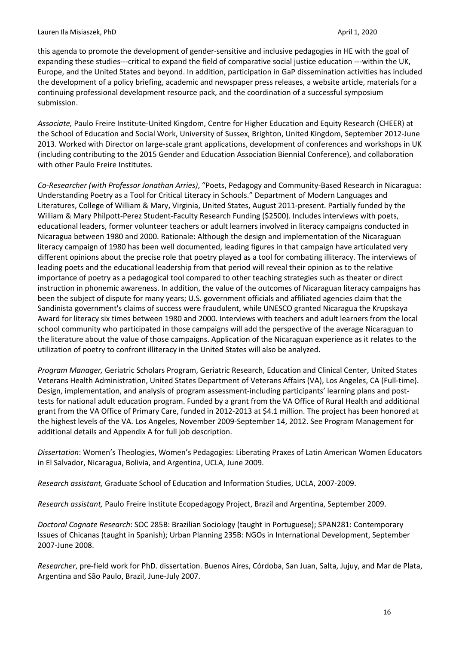this agenda to promote the development of gender-sensitive and inclusive pedagogies in HE with the goal of expanding these studies---critical to expand the field of comparative social justice education ---within the UK, Europe, and the United States and beyond. In addition, participation in GaP dissemination activities has included the development of a policy briefing, academic and newspaper press releases, a website article, materials for a continuing professional development resource pack, and the coordination of a successful symposium submission.

*Associate,* Paulo Freire Institute-United Kingdom, Centre for Higher Education and Equity Research (CHEER) at the School of Education and Social Work, University of Sussex, Brighton, United Kingdom, September 2012-June 2013. Worked with Director on large-scale grant applications, development of conferences and workshops in UK (including contributing to the 2015 Gender and Education Association Biennial Conference), and collaboration with other Paulo Freire Institutes.

*Co-Researcher (with Professor Jonathan Arries)*, "Poets, Pedagogy and Community-Based Research in Nicaragua: Understanding Poetry as a Tool for Critical Literacy in Schools." Department of Modern Languages and Literatures, College of William & Mary, Virginia, United States, August 2011-present. Partially funded by the William & Mary Philpott-Perez Student-Faculty Research Funding (\$2500). Includes interviews with poets, educational leaders, former volunteer teachers or adult learners involved in literacy campaigns conducted in Nicaragua between 1980 and 2000. Rationale: Although the design and implementation of the Nicaraguan literacy campaign of 1980 has been well documented, leading figures in that campaign have articulated very different opinions about the precise role that poetry played as a tool for combating illiteracy. The interviews of leading poets and the educational leadership from that period will reveal their opinion as to the relative importance of poetry as a pedagogical tool compared to other teaching strategies such as theater or direct instruction in phonemic awareness. In addition, the value of the outcomes of Nicaraguan literacy campaigns has been the subject of dispute for many years; U.S. government officials and affiliated agencies claim that the Sandinista government's claims of success were fraudulent, while UNESCO granted Nicaragua the Krupskaya Award for literacy six times between 1980 and 2000. Interviews with teachers and adult learners from the local school community who participated in those campaigns will add the perspective of the average Nicaraguan to the literature about the value of those campaigns. Application of the Nicaraguan experience as it relates to the utilization of poetry to confront illiteracy in the United States will also be analyzed.

*Program Manager,* Geriatric Scholars Program, Geriatric Research, Education and Clinical Center, United States Veterans Health Administration, United States Department of Veterans Affairs (VA), Los Angeles, CA (Full-time). Design, implementation, and analysis of program assessment-including participants' learning plans and posttests for national adult education program. Funded by a grant from the VA Office of Rural Health and additional grant from the VA Office of Primary Care, funded in 2012-2013 at \$4.1 million. The project has been honored at the highest levels of the VA. Los Angeles, November 2009-September 14, 2012. See Program Management for additional details and Appendix A for full job description.

*Dissertation*: Women's Theologies, Women's Pedagogies: Liberating Praxes of Latin American Women Educators in El Salvador, Nicaragua, Bolivia, and Argentina, UCLA, June 2009.

*Research assistant,* Graduate School of Education and Information Studies, UCLA, 2007-2009.

*Research assistant,* Paulo Freire Institute Ecopedagogy Project, Brazil and Argentina, September 2009.

*Doctoral Cognate Research*: SOC 285B: Brazilian Sociology (taught in Portuguese); SPAN281: Contemporary Issues of Chicanas (taught in Spanish); Urban Planning 235B: NGOs in International Development, September 2007-June 2008.

*Researcher*, pre-field work for PhD. dissertation. Buenos Aires, Córdoba, San Juan, Salta, Jujuy, and Mar de Plata, Argentina and São Paulo, Brazil, June-July 2007.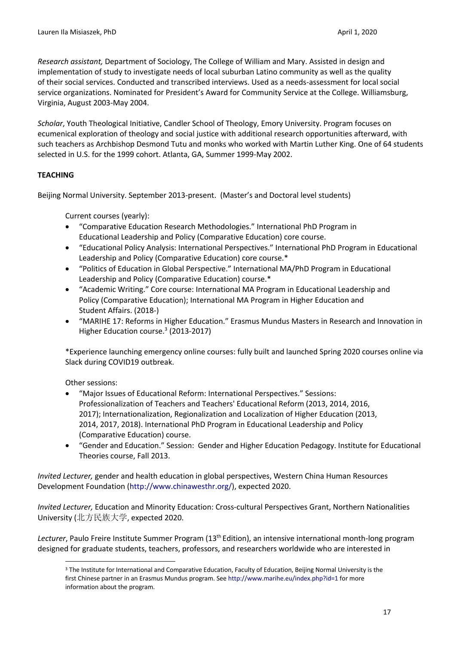*Research assistant,* Department of Sociology, The College of William and Mary. Assisted in design and implementation of study to investigate needs of local suburban Latino community as well as the quality of their social services. Conducted and transcribed interviews. Used as a needs-assessment for local social service organizations. Nominated for President's Award for Community Service at the College. Williamsburg, Virginia, August 2003-May 2004.

*Scholar*, Youth Theological Initiative, Candler School of Theology, Emory University. Program focuses on ecumenical exploration of theology and social justice with additional research opportunities afterward, with such teachers as Archbishop Desmond Tutu and monks who worked with Martin Luther King. One of 64 students selected in U.S. for the 1999 cohort. Atlanta, GA, Summer 1999-May 2002.

# **TEACHING**

Beijing Normal University. September 2013-present. (Master's and Doctoral level students)

Current courses (yearly):

- "Comparative Education Research Methodologies." International PhD Program in Educational Leadership and Policy (Comparative Education) core course.
- "Educational Policy Analysis: International Perspectives." International PhD Program in Educational Leadership and Policy (Comparative Education) core course.\*
- "Politics of Education in Global Perspective." International MA/PhD Program in Educational Leadership and Policy (Comparative Education) course.\*
- "Academic Writing." Core course: International MA Program in Educational Leadership and Policy (Comparative Education); International MA Program in Higher Education and Student Affairs. (2018-)
- "MARIHE 17: Reforms in Higher Education." Erasmus Mundus Masters in Research and Innovation in Higher Education course.<sup>3</sup> (2013-2017)

\*Experience launching emergency online courses: fully built and launched Spring 2020 courses online via Slack during COVID19 outbreak.

Other sessions:

- "Major Issues of Educational Reform: International Perspectives." Sessions: Professionalization of Teachers and Teachers' Educational Reform (2013, 2014, 2016, 2017); Internationalization, Regionalization and Localization of Higher Education (2013, 2014, 2017, 2018). International PhD Program in Educational Leadership and Policy (Comparative Education) course.
- "Gender and Education." Session: Gender and Higher Education Pedagogy. Institute for Educational Theories course, Fall 2013.

*Invited Lecturer,* gender and health education in global perspectives, Western China Human Resources Development Foundation (http://www.chinawesthr.org/), expected 2020.

*Invited Lecturer,* Education and Minority Education: Cross-cultural Perspectives Grant, Northern Nationalities University (北方民族大学, expected 2020.

*Lecturer*, Paulo Freire Institute Summer Program (13th Edition), an intensive international month-long program designed for graduate students, teachers, professors, and researchers worldwide who are interested in

<sup>&</sup>lt;sup>3</sup> The Institute for International and Comparative Education, Faculty of Education, Beijing Normal University is the first Chinese partner in an Erasmus Mundus program. See http://www.marihe.eu/index.php?id=1 for more information about the program.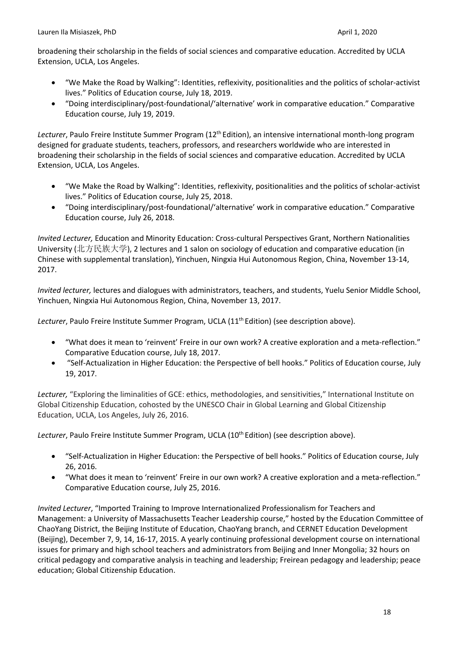broadening their scholarship in the fields of social sciences and comparative education. Accredited by UCLA Extension, UCLA, Los Angeles.

- "We Make the Road by Walking": Identities, reflexivity, positionalities and the politics of scholar-activist lives." Politics of Education course, July 18, 2019.
- "Doing interdisciplinary/post-foundational/'alternative' work in comparative education." Comparative Education course, July 19, 2019.

Lecturer, Paulo Freire Institute Summer Program (12<sup>th</sup> Edition), an intensive international month-long program designed for graduate students, teachers, professors, and researchers worldwide who are interested in broadening their scholarship in the fields of social sciences and comparative education. Accredited by UCLA Extension, UCLA, Los Angeles.

- "We Make the Road by Walking": Identities, reflexivity, positionalities and the politics of scholar-activist lives." Politics of Education course, July 25, 2018.
- "Doing interdisciplinary/post-foundational/'alternative' work in comparative education." Comparative Education course, July 26, 2018.

*Invited Lecturer,* Education and Minority Education: Cross-cultural Perspectives Grant, Northern Nationalities University (北方民族大学), 2 lectures and 1 salon on sociology of education and comparative education (in Chinese with supplemental translation), Yinchuen, Ningxia Hui Autonomous Region, China, November 13-14, 2017.

*Invited lecturer,* lectures and dialogues with administrators, teachers, and students, Yuelu Senior Middle School, Yinchuen, Ningxia Hui Autonomous Region, China, November 13, 2017.

Lecturer, Paulo Freire Institute Summer Program, UCLA (11<sup>th</sup> Edition) (see description above).

- "What does it mean to 'reinvent' Freire in our own work? A creative exploration and a meta-reflection." Comparative Education course, July 18, 2017.
- "Self-Actualization in Higher Education: the Perspective of bell hooks." Politics of Education course, July 19, 2017.

*Lecturer,* "Exploring the liminalities of GCE: ethics, methodologies, and sensitivities," International Institute on Global Citizenship Education, cohosted by the UNESCO Chair in Global Learning and Global Citizenship Education, UCLA, Los Angeles, July 26, 2016.

Lecturer, Paulo Freire Institute Summer Program, UCLA (10<sup>th</sup> Edition) (see description above).

- "Self-Actualization in Higher Education: the Perspective of bell hooks." Politics of Education course, July 26, 2016.
- "What does it mean to 'reinvent' Freire in our own work? A creative exploration and a meta-reflection." Comparative Education course, July 25, 2016.

*Invited Lecturer*, "Imported Training to Improve Internationalized Professionalism for Teachers and Management: a University of Massachusetts Teacher Leadership course," hosted by the Education Committee of ChaoYang District, the Beijing Institute of Education, ChaoYang branch, and CERNET Education Development (Beijing), December 7, 9, 14, 16-17, 2015. A yearly continuing professional development course on international issues for primary and high school teachers and administrators from Beijing and Inner Mongolia; 32 hours on critical pedagogy and comparative analysis in teaching and leadership; Freirean pedagogy and leadership; peace education; Global Citizenship Education.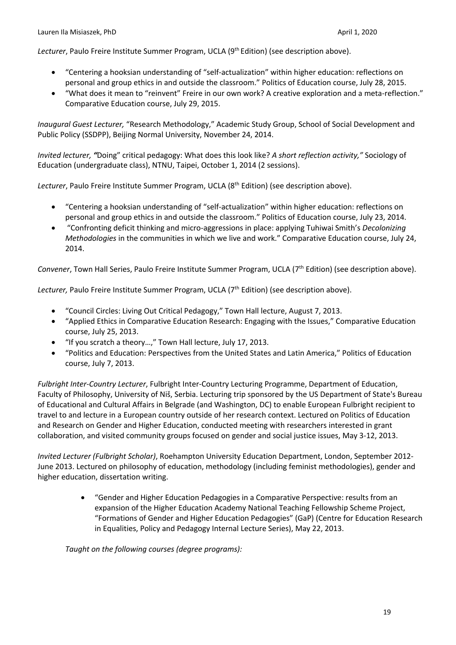Lecturer, Paulo Freire Institute Summer Program, UCLA (9<sup>th</sup> Edition) (see description above).

- "Centering a hooksian understanding of "self-actualization" within higher education: reflections on personal and group ethics in and outside the classroom." Politics of Education course, July 28, 2015.
- "What does it mean to "reinvent" Freire in our own work? A creative exploration and a meta-reflection." Comparative Education course, July 29, 2015.

*Inaugural Guest Lecturer,* "Research Methodology," Academic Study Group, School of Social Development and Public Policy (SSDPP), Beijing Normal University, November 24, 2014.

*Invited lecturer, "*Doing" critical pedagogy: What does this look like? *A short reflection activity,"* Sociology of Education (undergraduate class), NTNU, Taipei, October 1, 2014 (2 sessions).

Lecturer, Paulo Freire Institute Summer Program, UCLA (8<sup>th</sup> Edition) (see description above).

- "Centering a hooksian understanding of "self-actualization" within higher education: reflections on personal and group ethics in and outside the classroom." Politics of Education course, July 23, 2014.
- "Confronting deficit thinking and micro-aggressions in place: applying Tuhiwai Smith's *Decolonizing Methodologies* in the communities in which we live and work." Comparative Education course, July 24, 2014.

*Convener*, Town Hall Series, Paulo Freire Institute Summer Program, UCLA (7th Edition) (see description above).

Lecturer, Paulo Freire Institute Summer Program, UCLA (7<sup>th</sup> Edition) (see description above).

- "Council Circles: Living Out Critical Pedagogy," Town Hall lecture, August 7, 2013.
- "Applied Ethics in Comparative Education Research: Engaging with the Issues," Comparative Education course, July 25, 2013.
- "If you scratch a theory…," Town Hall lecture, July 17, 2013.
- "Politics and Education: Perspectives from the United States and Latin America," Politics of Education course, July 7, 2013.

*Fulbright Inter-Country Lecturer*, Fulbright Inter-Country Lecturing Programme, Department of Education, Faculty of Philosophy, University of Niš, Serbia. Lecturing trip sponsored by the US Department of State's Bureau of Educational and Cultural Affairs in Belgrade (and Washington, DC) to enable European Fulbright recipient to travel to and lecture in a European country outside of her research context. Lectured on Politics of Education and Research on Gender and Higher Education, conducted meeting with researchers interested in grant collaboration, and visited community groups focused on gender and social justice issues, May 3-12, 2013.

*Invited Lecturer (Fulbright Scholar)*, Roehampton University Education Department, London, September 2012- June 2013. Lectured on philosophy of education, methodology (including feminist methodologies), gender and higher education, dissertation writing.

> • "Gender and Higher Education Pedagogies in a Comparative Perspective: results from an expansion of the Higher Education Academy National Teaching Fellowship Scheme Project, "Formations of Gender and Higher Education Pedagogies" (GaP) (Centre for Education Research in Equalities, Policy and Pedagogy Internal Lecture Series), May 22, 2013.

*Taught on the following courses (degree programs):*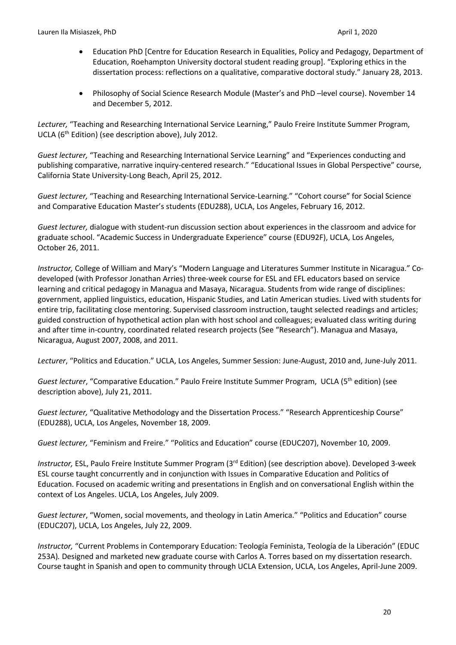- Education PhD [Centre for Education Research in Equalities, Policy and Pedagogy, Department of Education, Roehampton University doctoral student reading group]. "Exploring ethics in the dissertation process: reflections on a qualitative, comparative doctoral study." January 28, 2013.
- Philosophy of Social Science Research Module (Master's and PhD –level course). November 14 and December 5, 2012.

*Lecturer,* "Teaching and Researching International Service Learning," Paulo Freire Institute Summer Program, UCLA (6<sup>th</sup> Edition) (see description above), July 2012.

*Guest lecturer,* "Teaching and Researching International Service Learning" and "Experiences conducting and publishing comparative, narrative inquiry-centered research." "Educational Issues in Global Perspective" course, California State University-Long Beach, April 25, 2012.

*Guest lecturer,* "Teaching and Researching International Service-Learning." "Cohort course" for Social Science and Comparative Education Master's students (EDU288), UCLA, Los Angeles, February 16, 2012.

*Guest lecturer,* dialogue with student-run discussion section about experiences in the classroom and advice for graduate school. "Academic Success in Undergraduate Experience" course (EDU92F), UCLA, Los Angeles, October 26, 2011.

*Instructor,* College of William and Mary's "Modern Language and Literatures Summer Institute in Nicaragua." Codeveloped (with Professor Jonathan Arries) three-week course for ESL and EFL educators based on service learning and critical pedagogy in Managua and Masaya, Nicaragua. Students from wide range of disciplines: government, applied linguistics, education, Hispanic Studies, and Latin American studies. Lived with students for entire trip, facilitating close mentoring. Supervised classroom instruction, taught selected readings and articles; guided construction of hypothetical action plan with host school and colleagues; evaluated class writing during and after time in-country, coordinated related research projects (See "Research"). Managua and Masaya, Nicaragua, August 2007, 2008, and 2011.

*Lecturer*, "Politics and Education." UCLA, Los Angeles, Summer Session: June-August, 2010 and, June-July 2011.

Guest lecturer, "Comparative Education." Paulo Freire Institute Summer Program, UCLA (5<sup>th</sup> edition) (see description above), July 21, 2011.

*Guest lecturer,* "Qualitative Methodology and the Dissertation Process." "Research Apprenticeship Course" (EDU288), UCLA, Los Angeles, November 18, 2009.

*Guest lecturer,* "Feminism and Freire." "Politics and Education" course (EDUC207), November 10, 2009.

*Instructor,* ESL, Paulo Freire Institute Summer Program (3<sup>rd</sup> Edition) (see description above). Developed 3-week ESL course taught concurrently and in conjunction with Issues in Comparative Education and Politics of Education. Focused on academic writing and presentations in English and on conversational English within the context of Los Angeles. UCLA, Los Angeles, July 2009.

*Guest lecturer*, "Women, social movements, and theology in Latin America." "Politics and Education" course (EDUC207), UCLA, Los Angeles, July 22, 2009.

*Instructor,* "Current Problems in Contemporary Education: Teología Feminista, Teología de la Liberación" (EDUC 253A)*.* Designed and marketed new graduate course with Carlos A. Torres based on my dissertation research. Course taught in Spanish and open to community through UCLA Extension, UCLA, Los Angeles, April-June 2009.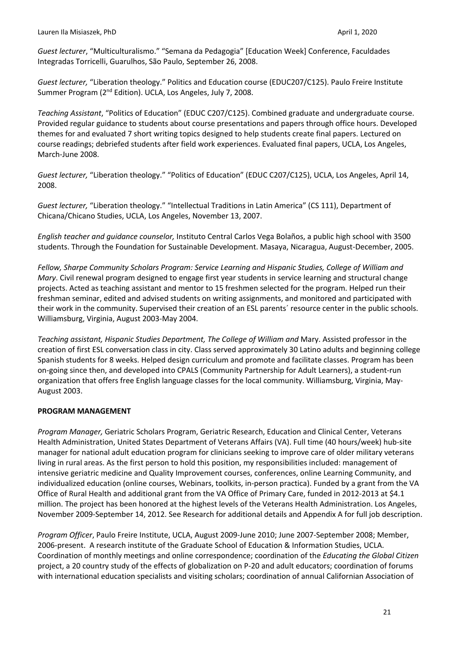*Guest lecturer*, "Multiculturalismo." "Semana da Pedagogia" [Education Week] Conference, Faculdades Integradas Torricelli, Guarulhos, São Paulo, September 26, 2008.

*Guest lecturer,* "Liberation theology." Politics and Education course (EDUC207/C125). Paulo Freire Institute Summer Program (2nd Edition). UCLA, Los Angeles, July 7, 2008.

*Teaching Assistant*, "Politics of Education" (EDUC C207/C125). Combined graduate and undergraduate course. Provided regular guidance to students about course presentations and papers through office hours. Developed themes for and evaluated 7 short writing topics designed to help students create final papers. Lectured on course readings; debriefed students after field work experiences. Evaluated final papers, UCLA, Los Angeles, March-June 2008.

*Guest lecturer,* "Liberation theology." "Politics of Education" (EDUC C207/C125), UCLA, Los Angeles, April 14, 2008.

*Guest lecturer,* "Liberation theology." "Intellectual Traditions in Latin America" (CS 111), Department of Chicana/Chicano Studies, UCLA, Los Angeles, November 13, 2007.

*English teacher and guidance counselor,* Instituto Central Carlos Vega Bolaños, a public high school with 3500 students. Through the Foundation for Sustainable Development. Masaya, Nicaragua, August-December, 2005.

*Fellow, Sharpe Community Scholars Program: Service Learning and Hispanic Studies, College of William and Mary*. Civil renewal program designed to engage first year students in service learning and structural change projects. Acted as teaching assistant and mentor to 15 freshmen selected for the program. Helped run their freshman seminar, edited and advised students on writing assignments, and monitored and participated with their work in the community. Supervised their creation of an ESL parents´ resource center in the public schools. Williamsburg, Virginia, August 2003-May 2004.

*Teaching assistant, Hispanic Studies Department, The College of William and* Mary. Assisted professor in the creation of first ESL conversation class in city. Class served approximately 30 Latino adults and beginning college Spanish students for 8 weeks. Helped design curriculum and promote and facilitate classes. Program has been on-going since then, and developed into CPALS (Community Partnership for Adult Learners), a student-run organization that offers free English language classes for the local community. Williamsburg, Virginia, May-August 2003.

### **PROGRAM MANAGEMENT**

*Program Manager,* Geriatric Scholars Program, Geriatric Research, Education and Clinical Center, Veterans Health Administration, United States Department of Veterans Affairs (VA). Full time (40 hours/week) hub-site manager for national adult education program for clinicians seeking to improve care of older military veterans living in rural areas. As the first person to hold this position, my responsibilities included: management of intensive geriatric medicine and Quality Improvement courses, conferences, online Learning Community, and individualized education (online courses, Webinars, toolkits, in-person practica). Funded by a grant from the VA Office of Rural Health and additional grant from the VA Office of Primary Care, funded in 2012-2013 at \$4.1 million. The project has been honored at the highest levels of the Veterans Health Administration. Los Angeles, November 2009-September 14, 2012. See Research for additional details and Appendix A for full job description.

*Program Officer*, Paulo Freire Institute, UCLA, August 2009-June 2010; June 2007-September 2008; Member, 2006-present. A research institute of the Graduate School of Education & Information Studies, UCLA. Coordination of monthly meetings and online correspondence; coordination of the *Educating the Global Citizen* project, a 20 country study of the effects of globalization on P-20 and adult educators; coordination of forums with international education specialists and visiting scholars; coordination of annual Californian Association of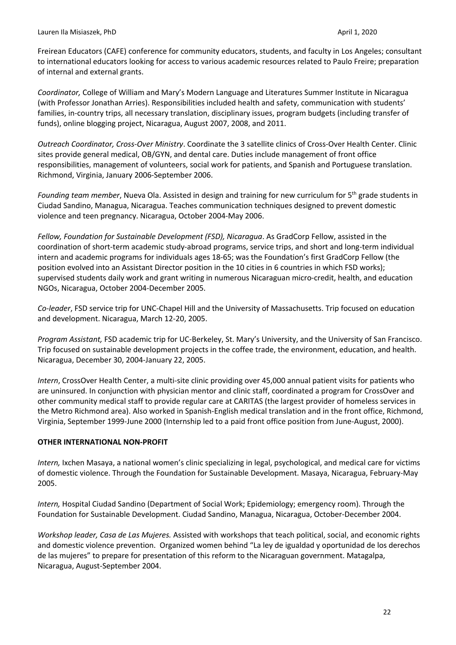Freirean Educators (CAFE) conference for community educators, students, and faculty in Los Angeles; consultant to international educators looking for access to various academic resources related to Paulo Freire; preparation of internal and external grants.

*Coordinator,* College of William and Mary's Modern Language and Literatures Summer Institute in Nicaragua (with Professor Jonathan Arries). Responsibilities included health and safety, communication with students' families, in-country trips, all necessary translation, disciplinary issues, program budgets (including transfer of funds), online blogging project, Nicaragua, August 2007, 2008, and 2011.

*Outreach Coordinator, Cross-Over Ministry*. Coordinate the 3 satellite clinics of Cross-Over Health Center. Clinic sites provide general medical, OB/GYN, and dental care. Duties include management of front office responsibilities, management of volunteers, social work for patients, and Spanish and Portuguese translation. Richmond, Virginia, January 2006-September 2006.

*Founding team member*, Nueva Ola. Assisted in design and training for new curriculum for 5th grade students in Ciudad Sandino, Managua, Nicaragua. Teaches communication techniques designed to prevent domestic violence and teen pregnancy. Nicaragua, October 2004-May 2006.

*Fellow, Foundation for Sustainable Development (FSD), Nicaragua*. As GradCorp Fellow, assisted in the coordination of short-term academic study-abroad programs, service trips, and short and long-term individual intern and academic programs for individuals ages 18-65; was the Foundation's first GradCorp Fellow (the position evolved into an Assistant Director position in the 10 cities in 6 countries in which FSD works); supervised students daily work and grant writing in numerous Nicaraguan micro-credit, health, and education NGOs, Nicaragua, October 2004-December 2005.

*Co-leader*, FSD service trip for UNC-Chapel Hill and the University of Massachusetts. Trip focused on education and development. Nicaragua, March 12-20, 2005.

*Program Assistant,* FSD academic trip for UC-Berkeley, St. Mary's University, and the University of San Francisco. Trip focused on sustainable development projects in the coffee trade, the environment, education, and health. Nicaragua, December 30, 2004-January 22, 2005.

*Intern*, CrossOver Health Center, a multi-site clinic providing over 45,000 annual patient visits for patients who are uninsured. In conjunction with physician mentor and clinic staff, coordinated a program for CrossOver and other community medical staff to provide regular care at CARITAS (the largest provider of homeless services in the Metro Richmond area). Also worked in Spanish-English medical translation and in the front office, Richmond, Virginia, September 1999-June 2000 (Internship led to a paid front office position from June-August, 2000).

### **OTHER INTERNATIONAL NON-PROFIT**

*Intern,* Ixchen Masaya, a national women's clinic specializing in legal, psychological, and medical care for victims of domestic violence. Through the Foundation for Sustainable Development. Masaya, Nicaragua, February-May 2005.

*Intern,* Hospital Ciudad Sandino (Department of Social Work; Epidemiology; emergency room). Through the Foundation for Sustainable Development. Ciudad Sandino, Managua, Nicaragua, October-December 2004.

*Workshop leader, Casa de Las Mujeres.* Assisted with workshops that teach political, social, and economic rights and domestic violence prevention. Organized women behind "La ley de igualdad y oportunidad de los derechos de las mujeres" to prepare for presentation of this reform to the Nicaraguan government. Matagalpa, Nicaragua, August-September 2004.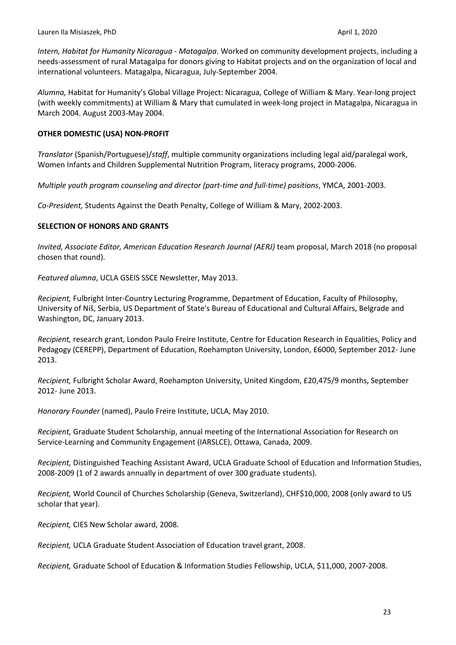*Intern, Habitat for Humanity Nicaragua - Matagalpa*. Worked on community development projects, including a needs-assessment of rural Matagalpa for donors giving to Habitat projects and on the organization of local and international volunteers. Matagalpa, Nicaragua, July-September 2004.

*Alumna,* Habitat for Humanity's Global Village Project: Nicaragua, College of William & Mary. Year-long project (with weekly commitments) at William & Mary that cumulated in week-long project in Matagalpa, Nicaragua in March 2004. August 2003-May 2004.

### **OTHER DOMESTIC (USA) NON-PROFIT**

*Translator* (Spanish/Portuguese)/*staff*, multiple community organizations including legal aid/paralegal work, Women Infants and Children Supplemental Nutrition Program, literacy programs, 2000-2006.

*Multiple youth program counseling and director (part-time and full-time) positions*, YMCA, 2001-2003.

*Co-President,* Students Against the Death Penalty, College of William & Mary, 2002-2003.

### **SELECTION OF HONORS AND GRANTS**

*Invited, Associate Editor, American Education Research Journal (AERJ)* team proposal, March 2018 (no proposal chosen that round).

*Featured alumna*, UCLA GSEIS SSCE Newsletter, May 2013.

*Recipient,* Fulbright Inter-Country Lecturing Programme, Department of Education, Faculty of Philosophy, University of Niš, Serbia, US Department of State's Bureau of Educational and Cultural Affairs, Belgrade and Washington, DC, January 2013.

*Recipient,* research grant, London Paulo Freire Institute, Centre for Education Research in Equalities, Policy and Pedagogy (CEREPP), Department of Education, Roehampton University, London, £6000, September 2012- June 2013.

*Recipient,* Fulbright Scholar Award, Roehampton University, United Kingdom, £20,475/9 months, September 2012- June 2013.

*Honorary Founder* (named), Paulo Freire Institute, UCLA, May 2010.

*Recipient,* Graduate Student Scholarship, annual meeting of the International Association for Research on Service-Learning and Community Engagement (IARSLCE), Ottawa, Canada, 2009.

*Recipient,* Distinguished Teaching Assistant Award, UCLA Graduate School of Education and Information Studies, 2008-2009 (1 of 2 awards annually in department of over 300 graduate students).

*Recipient,* World Council of Churches Scholarship (Geneva, Switzerland), CHF\$10,000, 2008 (only award to US scholar that year).

*Recipient,* CIES New Scholar award, 2008.

*Recipient,* UCLA Graduate Student Association of Education travel grant, 2008.

*Recipient,* Graduate School of Education & Information Studies Fellowship, UCLA, \$11,000, 2007-2008.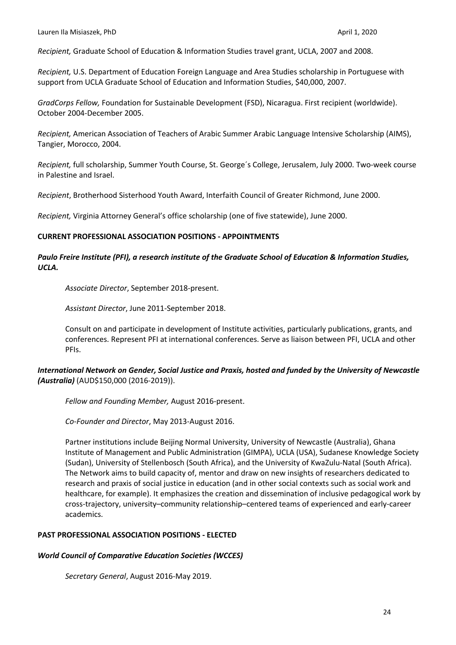*Recipient,* Graduate School of Education & Information Studies travel grant, UCLA, 2007 and 2008.

*Recipient,* U.S. Department of Education Foreign Language and Area Studies scholarship in Portuguese with support from UCLA Graduate School of Education and Information Studies, \$40,000, 2007.

*GradCorps Fellow,* Foundation for Sustainable Development (FSD), Nicaragua. First recipient (worldwide). October 2004-December 2005.

*Recipient,* American Association of Teachers of Arabic Summer Arabic Language Intensive Scholarship (AIMS), Tangier, Morocco, 2004.

*Recipient,* full scholarship, Summer Youth Course, St. George´s College, Jerusalem, July 2000. Two-week course in Palestine and Israel.

*Recipient*, Brotherhood Sisterhood Youth Award, Interfaith Council of Greater Richmond, June 2000.

*Recipient,* Virginia Attorney General's office scholarship (one of five statewide), June 2000.

#### **CURRENT PROFESSIONAL ASSOCIATION POSITIONS - APPOINTMENTS**

## *Paulo Freire Institute (PFI), a research institute of the Graduate School of Education & Information Studies, UCLA.*

*Associate Director*, September 2018-present.

*Assistant Director*, June 2011-September 2018.

Consult on and participate in development of Institute activities, particularly publications, grants, and conferences. Represent PFI at international conferences. Serve as liaison between PFI, UCLA and other PFIs.

## *International Network on Gender, Social Justice and Praxis, hosted and funded by the University of Newcastle (Australia)* (AUD\$150,000 (2016-2019)).

*Fellow and Founding Member,* August 2016-present.

*Co-Founder and Director*, May 2013-August 2016.

Partner institutions include Beijing Normal University, University of Newcastle (Australia), Ghana Institute of Management and Public Administration (GIMPA), UCLA (USA), Sudanese Knowledge Society (Sudan), University of Stellenbosch (South Africa), and the University of KwaZulu-Natal (South Africa). The Network aims to build capacity of, mentor and draw on new insights of researchers dedicated to research and praxis of social justice in education (and in other social contexts such as social work and healthcare, for example). It emphasizes the creation and dissemination of inclusive pedagogical work by cross-trajectory, university–community relationship–centered teams of experienced and early-career academics.

### **PAST PROFESSIONAL ASSOCIATION POSITIONS - ELECTED**

#### *World Council of Comparative Education Societies (WCCES)*

*Secretary General*, August 2016-May 2019.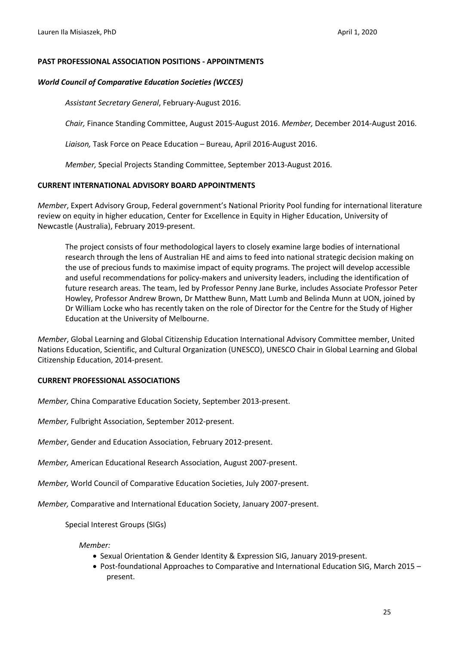#### **PAST PROFESSIONAL ASSOCIATION POSITIONS - APPOINTMENTS**

#### *World Council of Comparative Education Societies (WCCES)*

*Assistant Secretary General*, February-August 2016.

*Chair,* Finance Standing Committee, August 2015-August 2016. *Member,* December 2014-August 2016.

*Liaison,* Task Force on Peace Education – Bureau, April 2016-August 2016.

*Member,* Special Projects Standing Committee, September 2013-August 2016.

### **CURRENT INTERNATIONAL ADVISORY BOARD APPOINTMENTS**

*Member*, Expert Advisory Group, Federal government's National Priority Pool funding for international literature review on equity in higher education, Center for Excellence in Equity in Higher Education, University of Newcastle (Australia), February 2019-present.

The project consists of four methodological layers to closely examine large bodies of international research through the lens of Australian HE and aims to feed into national strategic decision making on the use of precious funds to maximise impact of equity programs. The project will develop accessible and useful recommendations for policy-makers and university leaders, including the identification of future research areas. The team, led by Professor Penny Jane Burke, includes Associate Professor Peter Howley, Professor Andrew Brown, Dr Matthew Bunn, Matt Lumb and Belinda Munn at UON, joined by Dr William Locke who has recently taken on the role of Director for the Centre for the Study of Higher Education at the University of Melbourne.

*Member*, Global Learning and Global Citizenship Education International Advisory Committee member, United Nations Education, Scientific, and Cultural Organization (UNESCO), UNESCO Chair in Global Learning and Global Citizenship Education, 2014-present.

#### **CURRENT PROFESSIONAL ASSOCIATIONS**

*Member,* China Comparative Education Society, September 2013-present.

*Member,* Fulbright Association, September 2012-present.

*Member*, Gender and Education Association, February 2012-present.

*Member,* American Educational Research Association, August 2007-present.

*Member,* World Council of Comparative Education Societies, July 2007-present.

*Member,* Comparative and International Education Society, January 2007-present.

Special Interest Groups (SIGs)

*Member:*

- Sexual Orientation & Gender Identity & Expression SIG, January 2019-present.
- Post-foundational Approaches to Comparative and International Education SIG, March 2015 present.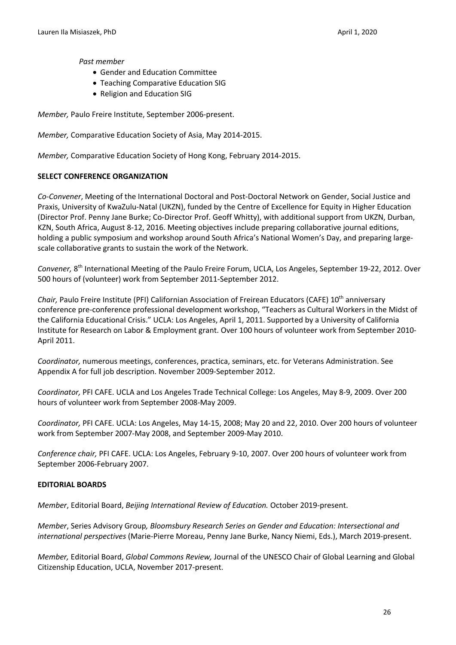#### *Past member*

- Gender and Education Committee
- Teaching Comparative Education SIG
- Religion and Education SIG

*Member,* Paulo Freire Institute, September 2006-present.

*Member,* Comparative Education Society of Asia, May 2014-2015.

*Member,* Comparative Education Society of Hong Kong, February 2014-2015.

### **SELECT CONFERENCE ORGANIZATION**

*Co-Convener*, Meeting of the International Doctoral and Post-Doctoral Network on Gender, Social Justice and Praxis, University of KwaZulu-Natal (UKZN), funded by the Centre of Excellence for Equity in Higher Education (Director Prof. Penny Jane Burke; Co-Director Prof. Geoff Whitty), with additional support from UKZN, Durban, KZN, South Africa, August 8-12, 2016. Meeting objectives include preparing collaborative journal editions, holding a public symposium and workshop around South Africa's National Women's Day, and preparing largescale collaborative grants to sustain the work of the Network.

*Convener,* 8th International Meeting of the Paulo Freire Forum, UCLA, Los Angeles, September 19-22, 2012. Over 500 hours of (volunteer) work from September 2011-September 2012.

*Chair,* Paulo Freire Institute (PFI) Californian Association of Freirean Educators (CAFE) 10<sup>th</sup> anniversary conference pre-conference professional development workshop, "Teachers as Cultural Workers in the Midst of the California Educational Crisis." UCLA: Los Angeles, April 1, 2011. Supported by a University of California Institute for Research on Labor & Employment grant. Over 100 hours of volunteer work from September 2010- April 2011.

*Coordinator,* numerous meetings, conferences, practica, seminars, etc. for Veterans Administration. See Appendix A for full job description. November 2009-September 2012.

*Coordinator,* PFI CAFE. UCLA and Los Angeles Trade Technical College: Los Angeles, May 8-9, 2009. Over 200 hours of volunteer work from September 2008-May 2009.

*Coordinator,* PFI CAFE. UCLA: Los Angeles, May 14-15, 2008; May 20 and 22, 2010. Over 200 hours of volunteer work from September 2007-May 2008, and September 2009-May 2010.

*Conference chair,* PFI CAFE. UCLA: Los Angeles, February 9-10, 2007. Over 200 hours of volunteer work from September 2006-February 2007.

### **EDITORIAL BOARDS**

*Member*, Editorial Board, *Beijing International Review of Education.* October 2019-present.

*Member*, Series Advisory Group*, Bloomsbury Research Series on Gender and Education: Intersectional and international perspectives* (Marie-Pierre Moreau, Penny Jane Burke, Nancy Niemi, Eds.), March 2019-present.

*Member,* Editorial Board, *Global Commons Review,* Journal of the UNESCO Chair of Global Learning and Global Citizenship Education, UCLA, November 2017-present.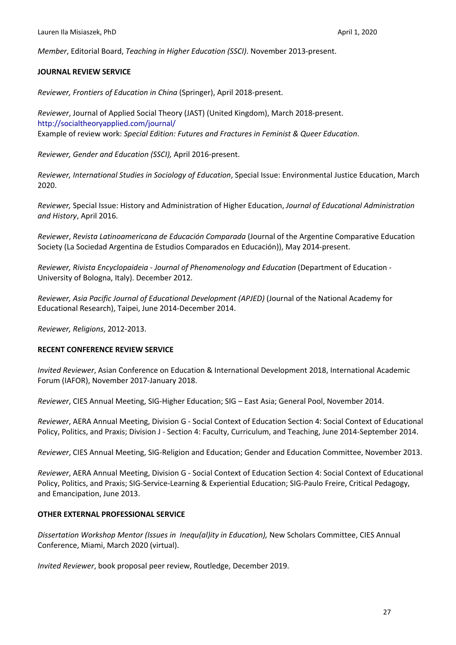*Member*, Editorial Board, *Teaching in Higher Education (SSCI)*. November 2013-present.

#### **JOURNAL REVIEW SERVICE**

*Reviewer, Frontiers of Education in China* (Springer), April 2018-present.

*Reviewer*, Journal of Applied Social Theory (JAST) (United Kingdom), March 2018-present. http://socialtheoryapplied.com/journal/ Example of review work: *Special Edition: Futures and Fractures in Feminist & Queer Education*.

*Reviewer, Gender and Education (SSCI),* April 2016-present.

*Reviewer, International Studies in Sociology of Education*, Special Issue: Environmental Justice Education, March 2020.

*Reviewer,* Special Issue: History and Administration of Higher Education, *Journal of Educational Administration and History*, April 2016.

*Reviewer*, *Revista Latinoamericana de Educación Comparada* (Journal of the Argentine Comparative Education Society (La Sociedad Argentina de Estudios Comparados en Educación)), May 2014-present.

*Reviewer, Rivista Encyclopaideia - Journal of Phenomenology and Education* (Department of Education - University of Bologna, Italy). December 2012.

*Reviewer, Asia Pacific Journal of Educational Development (APJED)* (Journal of the National Academy for Educational Research), Taipei, June 2014-December 2014.

*Reviewer, Religions*, 2012-2013.

### **RECENT CONFERENCE REVIEW SERVICE**

*Invited Reviewer*, Asian Conference on Education & International Development 2018, International Academic Forum (IAFOR), November 2017-January 2018.

*Reviewer*, CIES Annual Meeting, SIG-Higher Education; SIG – East Asia; General Pool, November 2014.

*Reviewer*, AERA Annual Meeting, Division G - Social Context of Education Section 4: Social Context of Educational Policy, Politics, and Praxis; Division J - Section 4: Faculty, Curriculum, and Teaching, June 2014-September 2014.

*Reviewer*, CIES Annual Meeting, SIG-Religion and Education; Gender and Education Committee, November 2013.

*Reviewer*, AERA Annual Meeting, Division G - Social Context of Education Section 4: Social Context of Educational Policy, Politics, and Praxis; SIG-Service-Learning & Experiential Education; SIG-Paulo Freire, Critical Pedagogy, and Emancipation, June 2013.

### **OTHER EXTERNAL PROFESSIONAL SERVICE**

*Dissertation Workshop Mentor (Issues in Inequ(al)ity in Education),* New Scholars Committee, CIES Annual Conference, Miami, March 2020 (virtual).

*Invited Reviewer*, book proposal peer review, Routledge, December 2019.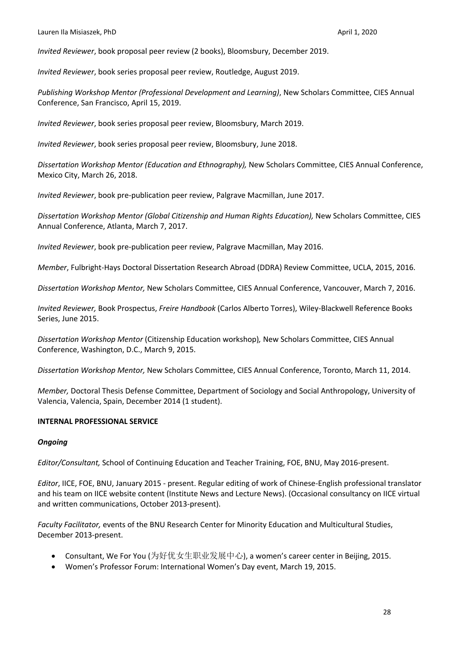*Invited Reviewer*, book proposal peer review (2 books), Bloomsbury, December 2019.

*Invited Reviewer*, book series proposal peer review, Routledge, August 2019.

*Publishing Workshop Mentor (Professional Development and Learning)*, New Scholars Committee, CIES Annual Conference, San Francisco, April 15, 2019.

*Invited Reviewer*, book series proposal peer review, Bloomsbury, March 2019.

*Invited Reviewer*, book series proposal peer review, Bloomsbury, June 2018.

*Dissertation Workshop Mentor (Education and Ethnography),* New Scholars Committee, CIES Annual Conference, Mexico City, March 26, 2018.

*Invited Reviewer*, book pre-publication peer review, Palgrave Macmillan, June 2017.

*Dissertation Workshop Mentor (Global Citizenship and Human Rights Education),* New Scholars Committee, CIES Annual Conference, Atlanta, March 7, 2017.

*Invited Reviewer*, book pre-publication peer review, Palgrave Macmillan, May 2016.

*Member*, Fulbright-Hays Doctoral Dissertation Research Abroad (DDRA) Review Committee, UCLA, 2015, 2016.

*Dissertation Workshop Mentor,* New Scholars Committee, CIES Annual Conference, Vancouver, March 7, 2016.

*Invited Reviewer,* Book Prospectus, *Freire Handbook* (Carlos Alberto Torres), Wiley-Blackwell Reference Books Series, June 2015.

*Dissertation Workshop Mentor* (Citizenship Education workshop)*,* New Scholars Committee, CIES Annual Conference, Washington, D.C., March 9, 2015.

*Dissertation Workshop Mentor,* New Scholars Committee, CIES Annual Conference, Toronto, March 11, 2014.

*Member,* Doctoral Thesis Defense Committee, Department of Sociology and Social Anthropology, University of Valencia, Valencia, Spain, December 2014 (1 student).

#### **INTERNAL PROFESSIONAL SERVICE**

### *Ongoing*

*Editor/Consultant,* School of Continuing Education and Teacher Training, FOE, BNU, May 2016-present.

*Editor*, IICE, FOE, BNU, January 2015 - present. Regular editing of work of Chinese-English professional translator and his team on IICE website content (Institute News and Lecture News). (Occasional consultancy on IICE virtual and written communications, October 2013-present).

*Faculty Facilitator,* events of the BNU Research Center for Minority Education and Multicultural Studies, December 2013-present.

- Consultant, We For You (为好优女生职业发展中心), a women's career center in Beijing, 2015.
- Women's Professor Forum: International Women's Day event, March 19, 2015.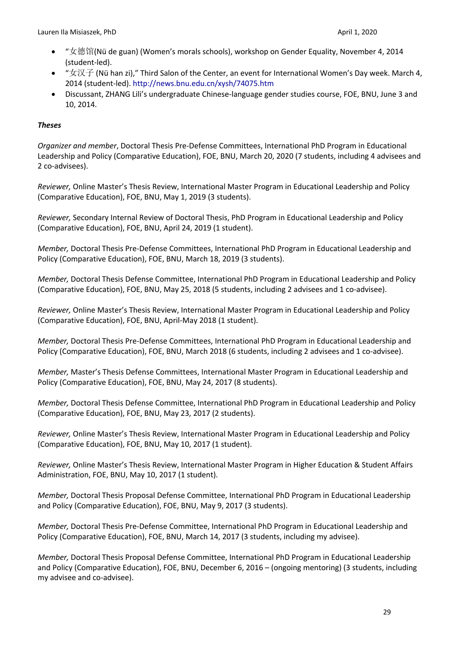- "女德馆(Nü de guan) (Women's morals schools), workshop on Gender Equality, November 4, 2014 (student-led).
- "女汉子 (Nü han zi)," Third Salon of the Center, an event for International Women's Day week. March 4, 2014 (student-led). http://news.bnu.edu.cn/xysh/74075.htm
- Discussant, ZHANG Lili's undergraduate Chinese-language gender studies course, FOE, BNU, June 3 and 10, 2014.

# *Theses*

*Organizer and member*, Doctoral Thesis Pre-Defense Committees, International PhD Program in Educational Leadership and Policy (Comparative Education), FOE, BNU, March 20, 2020 (7 students, including 4 advisees and 2 co-advisees).

*Reviewer,* Online Master's Thesis Review, International Master Program in Educational Leadership and Policy (Comparative Education), FOE, BNU, May 1, 2019 (3 students).

*Reviewer,* Secondary Internal Review of Doctoral Thesis, PhD Program in Educational Leadership and Policy (Comparative Education), FOE, BNU, April 24, 2019 (1 student).

*Member,* Doctoral Thesis Pre-Defense Committees, International PhD Program in Educational Leadership and Policy (Comparative Education), FOE, BNU, March 18, 2019 (3 students).

*Member,* Doctoral Thesis Defense Committee, International PhD Program in Educational Leadership and Policy (Comparative Education), FOE, BNU, May 25, 2018 (5 students, including 2 advisees and 1 co-advisee).

*Reviewer,* Online Master's Thesis Review, International Master Program in Educational Leadership and Policy (Comparative Education), FOE, BNU, April-May 2018 (1 student).

*Member,* Doctoral Thesis Pre-Defense Committees, International PhD Program in Educational Leadership and Policy (Comparative Education), FOE, BNU, March 2018 (6 students, including 2 advisees and 1 co-advisee).

*Member,* Master's Thesis Defense Committees, International Master Program in Educational Leadership and Policy (Comparative Education), FOE, BNU, May 24, 2017 (8 students).

*Member,* Doctoral Thesis Defense Committee, International PhD Program in Educational Leadership and Policy (Comparative Education), FOE, BNU, May 23, 2017 (2 students).

*Reviewer,* Online Master's Thesis Review, International Master Program in Educational Leadership and Policy (Comparative Education), FOE, BNU, May 10, 2017 (1 student).

*Reviewer,* Online Master's Thesis Review, International Master Program in Higher Education & Student Affairs Administration, FOE, BNU, May 10, 2017 (1 student).

*Member,* Doctoral Thesis Proposal Defense Committee, International PhD Program in Educational Leadership and Policy (Comparative Education), FOE, BNU, May 9, 2017 (3 students).

*Member,* Doctoral Thesis Pre-Defense Committee, International PhD Program in Educational Leadership and Policy (Comparative Education), FOE, BNU, March 14, 2017 (3 students, including my advisee).

*Member,* Doctoral Thesis Proposal Defense Committee, International PhD Program in Educational Leadership and Policy (Comparative Education), FOE, BNU, December 6, 2016 – (ongoing mentoring) (3 students, including my advisee and co-advisee).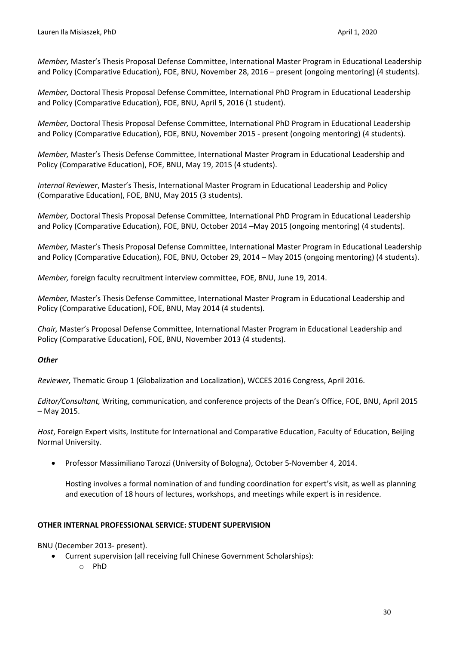*Member,* Master's Thesis Proposal Defense Committee, International Master Program in Educational Leadership and Policy (Comparative Education), FOE, BNU, November 28, 2016 – present (ongoing mentoring) (4 students).

*Member,* Doctoral Thesis Proposal Defense Committee, International PhD Program in Educational Leadership and Policy (Comparative Education), FOE, BNU, April 5, 2016 (1 student).

*Member,* Doctoral Thesis Proposal Defense Committee, International PhD Program in Educational Leadership and Policy (Comparative Education), FOE, BNU, November 2015 - present (ongoing mentoring) (4 students).

*Member,* Master's Thesis Defense Committee, International Master Program in Educational Leadership and Policy (Comparative Education), FOE, BNU, May 19, 2015 (4 students).

*Internal Reviewer*, Master's Thesis, International Master Program in Educational Leadership and Policy (Comparative Education), FOE, BNU, May 2015 (3 students).

*Member,* Doctoral Thesis Proposal Defense Committee, International PhD Program in Educational Leadership and Policy (Comparative Education), FOE, BNU, October 2014 –May 2015 (ongoing mentoring) (4 students).

*Member,* Master's Thesis Proposal Defense Committee, International Master Program in Educational Leadership and Policy (Comparative Education), FOE, BNU, October 29, 2014 – May 2015 (ongoing mentoring) (4 students).

*Member,* foreign faculty recruitment interview committee, FOE, BNU, June 19, 2014.

*Member,* Master's Thesis Defense Committee, International Master Program in Educational Leadership and Policy (Comparative Education), FOE, BNU, May 2014 (4 students).

*Chair,* Master's Proposal Defense Committee, International Master Program in Educational Leadership and Policy (Comparative Education), FOE, BNU, November 2013 (4 students).

### *Other*

*Reviewer,* Thematic Group 1 (Globalization and Localization), WCCES 2016 Congress, April 2016.

*Editor/Consultant,* Writing, communication, and conference projects of the Dean's Office, FOE, BNU, April 2015 – May 2015.

*Host*, Foreign Expert visits, Institute for International and Comparative Education, Faculty of Education, Beijing Normal University.

• Professor Massimiliano Tarozzi (University of Bologna), October 5-November 4, 2014.

Hosting involves a formal nomination of and funding coordination for expert's visit, as well as planning and execution of 18 hours of lectures, workshops, and meetings while expert is in residence.

### **OTHER INTERNAL PROFESSIONAL SERVICE: STUDENT SUPERVISION**

BNU (December 2013- present).

- Current supervision (all receiving full Chinese Government Scholarships):
	- o PhD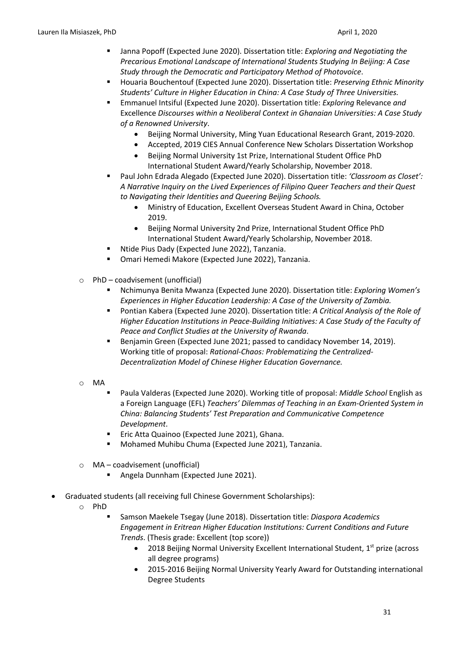- § Janna Popoff (Expected June 2020). Dissertation title: *Exploring and Negotiating the Precarious Emotional Landscape of International Students Studying In Beijing: A Case Study through the Democratic and Participatory Method of Photovoice*.
- § Houaria Bouchentouf (Expected June 2020). Dissertation title: *Preserving Ethnic Minority Students' Culture in Higher Education in China: A Case Study of Three Universities.*
- § Emmanuel Intsiful (Expected June 2020). Dissertation title: *Exploring* Relevance *and*  Excellence *Discourses within a Neoliberal Context in Ghanaian Universities: A Case Study of a Renowned University*.
	- Beijing Normal University, Ming Yuan Educational Research Grant, 2019-2020.
	- Accepted, 2019 CIES Annual Conference New Scholars Dissertation Workshop
	- Beijing Normal University 1st Prize, International Student Office PhD International Student Award/Yearly Scholarship, November 2018.
- § Paul John Edrada Alegado (Expected June 2020). Dissertation title: *'Classroom as Closet': A Narrative Inquiry on the Lived Experiences of Filipino Queer Teachers and their Quest to Navigating their Identities and Queering Beijing Schools.*
	- Ministry of Education, Excellent Overseas Student Award in China, October 2019.
	- Beijing Normal University 2nd Prize, International Student Office PhD International Student Award/Yearly Scholarship, November 2018.
- Ntide Pius Dady (Expected June 2022), Tanzania.
- Omari Hemedi Makore (Expected June 2022), Tanzania.
- o PhD coadvisement (unofficial)
	- § Nchimunya Benita Mwanza (Expected June 2020). Dissertation title: *Exploring Women's Experiences in Higher Education Leadership: A Case of the University of Zambia.*
	- § Pontian Kabera (Expected June 2020). Dissertation title: *A Critical Analysis of the Role of Higher Education Institutions in Peace-Building Initiatives: A Case Study of the Faculty of Peace and Conflict Studies at the University of Rwanda*.
	- Benjamin Green (Expected June 2021; passed to candidacy November 14, 2019). Working title of proposal: *Rational-Chaos: Problematizing the Centralized-Decentralization Model of Chinese Higher Education Governance.*
- o MA
- § Paula Valderas (Expected June 2020). Working title of proposal: *Middle School* English as a Foreign Language (EFL) *Teachers' Dilemmas of Teaching in an Exam-Oriented System in China: Balancing Students' Test Preparation and Communicative Competence Development*.
- Eric Atta Quainoo (Expected June 2021), Ghana.
- Mohamed Muhibu Chuma (Expected June 2021), Tanzania.
- o MA coadvisement (unofficial)
	- § Angela Dunnham (Expected June 2021).
- Graduated students (all receiving full Chinese Government Scholarships):
	- o PhD
		- § Samson Maekele Tsegay (June 2018). Dissertation title: *Diaspora Academics Engagement in Eritrean Higher Education Institutions: Current Conditions and Future Trends*. (Thesis grade: Excellent (top score))
			- 2018 Beijing Normal University Excellent International Student, 1<sup>st</sup> prize (across all degree programs)
			- 2015-2016 Beijing Normal University Yearly Award for Outstanding international Degree Students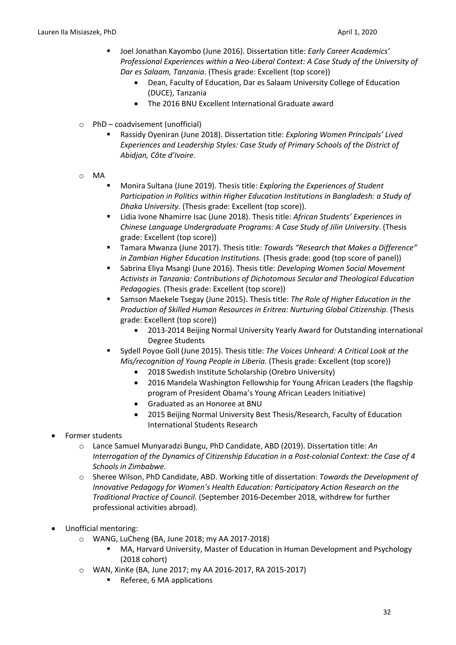- § Joel Jonathan Kayombo (June 2016). Dissertation title: *Early Career Academics' Professional Experiences within a Neo-Liberal Context: A Case Study of the University of Dar es Salaam, Tanzania*. (Thesis grade: Excellent (top score))
	- Dean, Faculty of Education, Dar es Salaam University College of Education (DUCE), Tanzania
	- The 2016 BNU Excellent International Graduate award
- $\circ$  PhD coadvisement (unofficial)
	- § Rassidy Oyeniran (June 2018). Dissertation title: *Exploring Women Principals' Lived Experiences and Leadership Styles: Case Study of Primary Schools of the District of Abidjan, Côte d'Ivoire*.
- o MA
- § Monira Sultana (June 2019). Thesis title: *Exploring the Experiences of Student Participation in Politics within Higher Education Institutions in Bangladesh: a Study of Dhaka University.* (Thesis grade: Excellent (top score)).
- § Lidia Ivone Nhamirre Isac (June 2018). Thesis title: *African Students' Experiences in Chinese Language Undergraduate Programs: A Case Study of Jilin University*. (Thesis grade: Excellent (top score))
- § Tamara Mwanza (June 2017). Thesis title: *Towards "Research that Makes a Difference" in Zambian Higher Education Institutions.* (Thesis grade: good (top score of panel))
- Sabrina Eliya Msangi (June 2016). Thesis title: *Developing Women Social Movement Activists in Tanzania: Contributions of Dichotomous Secular and Theological Education Pedagogies.* (Thesis grade: Excellent (top score))
- § Samson Maekele Tsegay (June 2015). Thesis title: *The Role of Higher Education in the Production of Skilled Human Resources in Eritrea: Nurturing Global Citizenship*. (Thesis grade: Excellent (top score))
	- 2013-2014 Beijing Normal University Yearly Award for Outstanding international Degree Students
- § Sydell Poyoe Goll (June 2015). Thesis title: *The Voices Unheard: A Critical Look at the Mis/recognition of Young People in Liberia.* (Thesis grade: Excellent (top score))
	- 2018 Swedish Institute Scholarship (Orebro University)
	- 2016 Mandela Washington Fellowship for Young African Leaders (the flagship program of President Obama's Young African Leaders Initiative)
	- Graduated as an Honoree at BNU
	- 2015 Beijing Normal University Best Thesis/Research, Faculty of Education International Students Research
- Former students
	- o Lance Samuel Munyaradzi Bungu, PhD Candidate, ABD (2019). Dissertation title: *An Interrogation of the Dynamics of Citizenship Education in a Post-colonial Context: the Case of 4 Schools in Zimbabwe.*
	- o Sheree Wilson, PhD Candidate, ABD. Working title of dissertation: *Towards the Development of Innovative Pedagogy for Women's Health Education: Participatory Action Research on the Traditional Practice of Council*. (September 2016-December 2018, withdrew for further professional activities abroad).
- Unofficial mentoring:
	- o WANG, LuCheng (BA, June 2018; my AA 2017-2018)
		- § MA, Harvard University, Master of Education in Human Development and Psychology (2018 cohort)
	- o WAN, XinKe (BA, June 2017; my AA 2016-2017, RA 2015-2017)
		- § Referee, 6 MA applications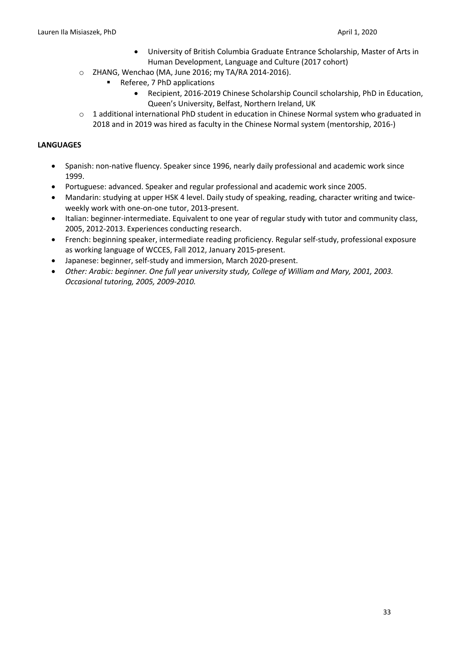- University of British Columbia Graduate Entrance Scholarship, Master of Arts in Human Development, Language and Culture (2017 cohort)
- o ZHANG, Wenchao (MA, June 2016; my TA/RA 2014-2016).
	- § Referee, 7 PhD applications
		- Recipient, 2016-2019 Chinese Scholarship Council scholarship, PhD in Education, Queen's University, Belfast, Northern Ireland, UK
- $\circ$  1 additional international PhD student in education in Chinese Normal system who graduated in 2018 and in 2019 was hired as faculty in the Chinese Normal system (mentorship, 2016-)

# **LANGUAGES**

- Spanish: non-native fluency. Speaker since 1996, nearly daily professional and academic work since 1999.
- Portuguese: advanced. Speaker and regular professional and academic work since 2005.
- Mandarin: studying at upper HSK 4 level. Daily study of speaking, reading, character writing and twiceweekly work with one-on-one tutor, 2013-present.
- Italian: beginner-intermediate. Equivalent to one year of regular study with tutor and community class, 2005, 2012-2013. Experiences conducting research.
- French: beginning speaker, intermediate reading proficiency. Regular self-study, professional exposure as working language of WCCES, Fall 2012, January 2015-present.
- Japanese: beginner, self-study and immersion, March 2020-present.
- *Other: Arabic: beginner. One full year university study, College of William and Mary, 2001, 2003. Occasional tutoring, 2005, 2009-2010.*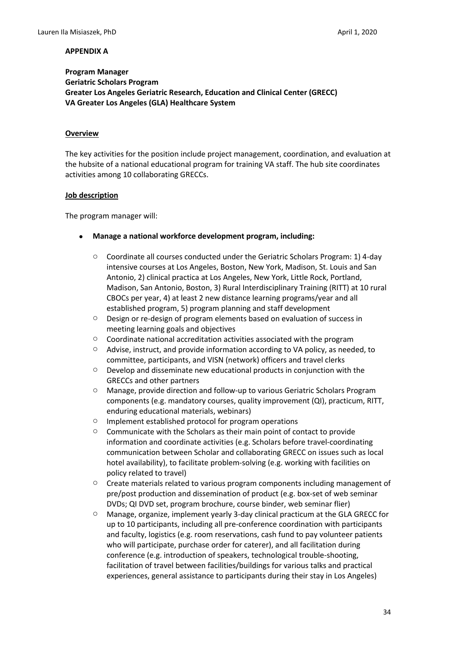## **Program Manager Geriatric Scholars Program Greater Los Angeles Geriatric Research, Education and Clinical Center (GRECC) VA Greater Los Angeles (GLA) Healthcare System**

#### **Overview**

The key activities for the position include project management, coordination, and evaluation at the hubsite of a national educational program for training VA staff. The hub site coordinates activities among 10 collaborating GRECCs.

#### **Job description**

The program manager will:

- **Manage a national workforce development program, including:**
	- $\circ$  Coordinate all courses conducted under the Geriatric Scholars Program: 1) 4-day intensive courses at Los Angeles, Boston, New York, Madison, St. Louis and San Antonio, 2) clinical practica at Los Angeles, New York, Little Rock, Portland, Madison, San Antonio, Boston, 3) Rural Interdisciplinary Training (RITT) at 10 rural CBOCs per year, 4) at least 2 new distance learning programs/year and all established program, 5) program planning and staff development
	- o Design or re-design of program elements based on evaluation of success in meeting learning goals and objectives
	- o Coordinate national accreditation activities associated with the program
	- o Advise, instruct, and provide information according to VA policy, as needed, to committee, participants, and VISN (network) officers and travel clerks
	- o Develop and disseminate new educational products in conjunction with the GRECCs and other partners
	- o Manage, provide direction and follow-up to various Geriatric Scholars Program components (e.g. mandatory courses, quality improvement (QI), practicum, RITT, enduring educational materials, webinars)
	- o Implement established protocol for program operations
	- o Communicate with the Scholars as their main point of contact to provide information and coordinate activities (e.g. Scholars before travel-coordinating communication between Scholar and collaborating GRECC on issues such as local hotel availability), to facilitate problem-solving (e.g. working with facilities on policy related to travel)
	- $\circ$  Create materials related to various program components including management of pre/post production and dissemination of product (e.g. box-set of web seminar DVDs; QI DVD set, program brochure, course binder, web seminar flier)
	- o Manage, organize, implement yearly 3-day clinical practicum at the GLA GRECC for up to 10 participants, including all pre-conference coordination with participants and faculty, logistics (e.g. room reservations, cash fund to pay volunteer patients who will participate, purchase order for caterer), and all facilitation during conference (e.g. introduction of speakers, technological trouble-shooting, facilitation of travel between facilities/buildings for various talks and practical experiences, general assistance to participants during their stay in Los Angeles)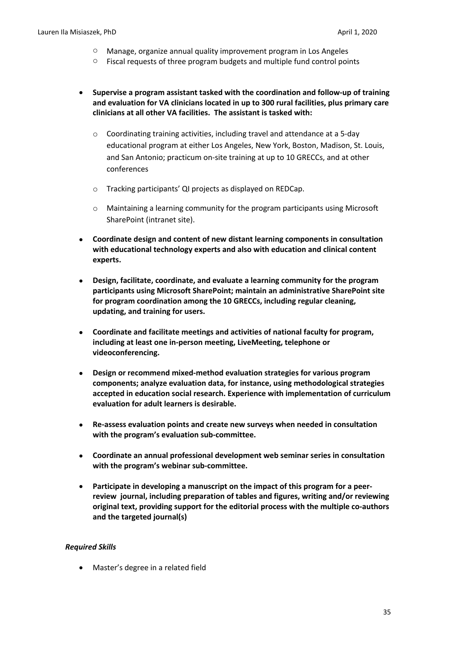- o Manage, organize annual quality improvement program in Los Angeles
- o Fiscal requests of three program budgets and multiple fund control points
- **Supervise a program assistant tasked with the coordination and follow-up of training and evaluation for VA clinicians located in up to 300 rural facilities, plus primary care clinicians at all other VA facilities. The assistant is tasked with:** 
	- o Coordinating training activities, including travel and attendance at a 5-day educational program at either Los Angeles, New York, Boston, Madison, St. Louis, and San Antonio; practicum on-site training at up to 10 GRECCs, and at other conferences
	- o Tracking participants' QI projects as displayed on REDCap.
	- o Maintaining a learning community for the program participants using Microsoft SharePoint (intranet site).
- **Coordinate design and content of new distant learning components in consultation with educational technology experts and also with education and clinical content experts.**
- **Design, facilitate, coordinate, and evaluate a learning community for the program participants using Microsoft SharePoint; maintain an administrative SharePoint site for program coordination among the 10 GRECCs, including regular cleaning, updating, and training for users.**
- **Coordinate and facilitate meetings and activities of national faculty for program, including at least one in-person meeting, LiveMeeting, telephone or videoconferencing.**
- **Design or recommend mixed-method evaluation strategies for various program components; analyze evaluation data, for instance, using methodological strategies accepted in education social research. Experience with implementation of curriculum evaluation for adult learners is desirable.**
- **Re-assess evaluation points and create new surveys when needed in consultation with the program's evaluation sub-committee.**
- **Coordinate an annual professional development web seminar series in consultation with the program's webinar sub-committee.**
- **Participate in developing a manuscript on the impact of this program for a peerreview journal, including preparation of tables and figures, writing and/or reviewing original text, providing support for the editorial process with the multiple co-authors and the targeted journal(s)**

#### *Required Skills*

• Master's degree in a related field